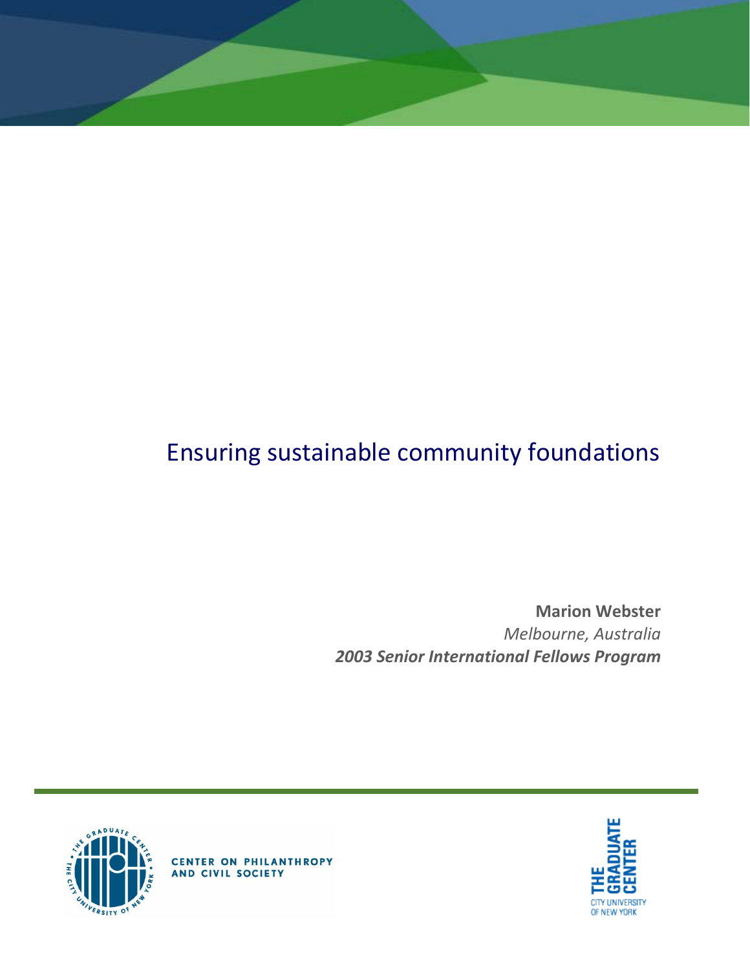# Ensuring sustainable community foundations

**Marion Webster** *Melbourne, Australia 2003 Senior International Fellows Program*





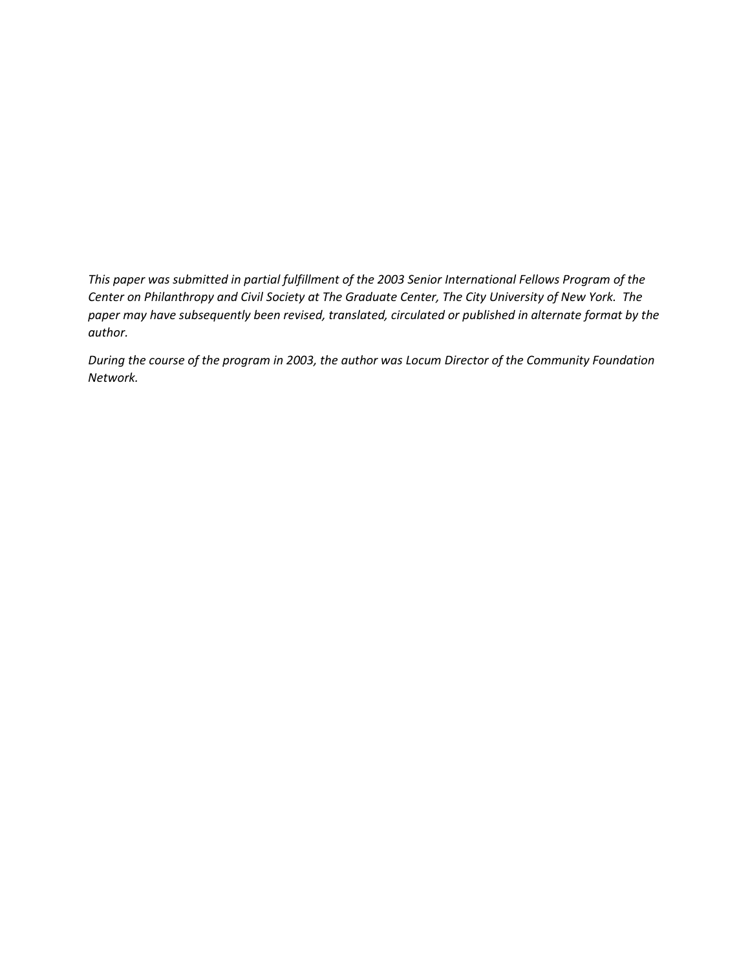*This paper was submitted in partial fulfillment of the 2003 Senior International Fellows Program of the Center on Philanthropy and Civil Society at The Graduate Center, The City University of New York. The paper may have subsequently been revised, translated, circulated or published in alternate format by the author.*

*During the course of the program in 2003, the author was Locum Director of the Community Foundation Network.*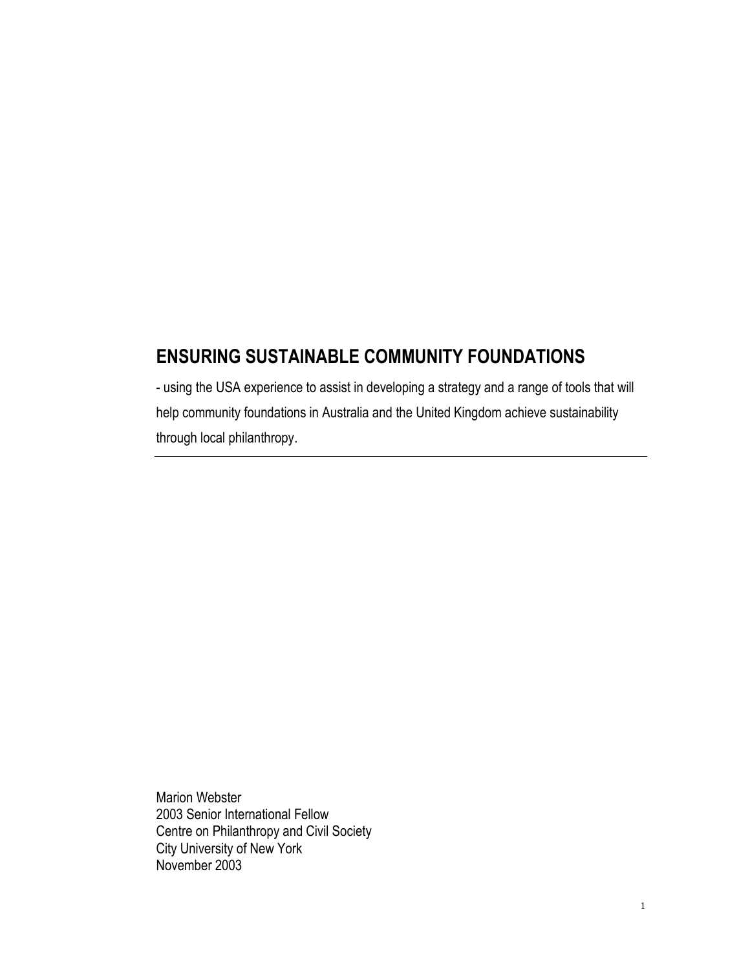## **ENSURING SUSTAINABLE COMMUNITY FOUNDATIONS**

- using the USA experience to assist in developing a strategy and a range of tools that will help community foundations in Australia and the United Kingdom achieve sustainability through local philanthropy.

Marion Webster 2003 Senior International Fellow Centre on Philanthropy and Civil Society City University of New York November 2003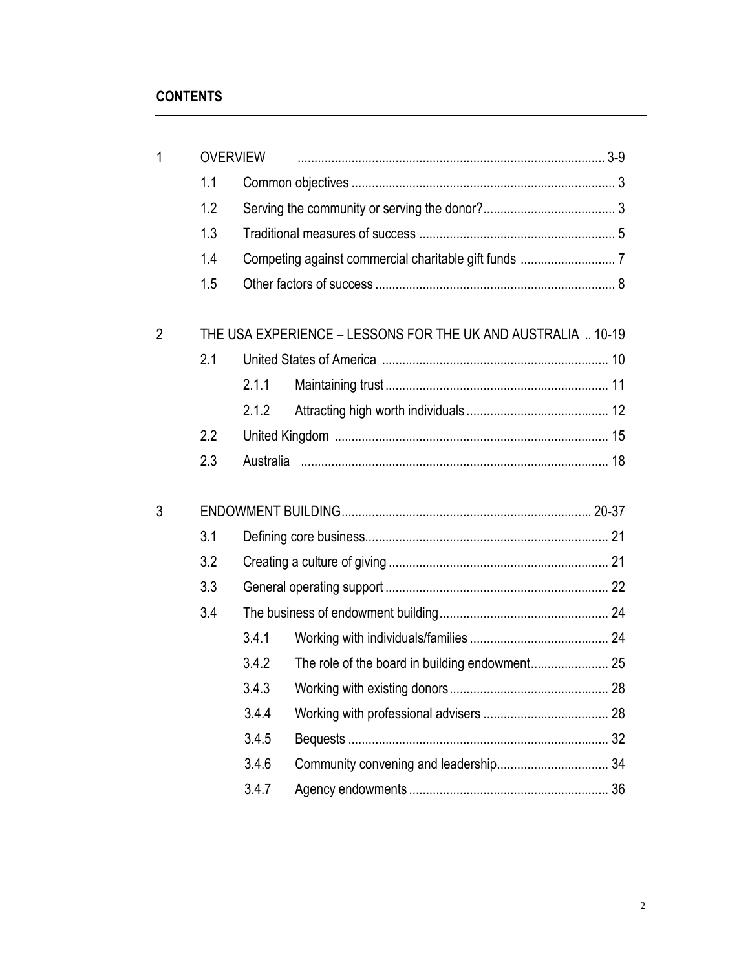| $\mathbf{1}$   | <b>OVERVIEW</b> |                                                              |  |  |  |  |
|----------------|-----------------|--------------------------------------------------------------|--|--|--|--|
|                | 1.1             |                                                              |  |  |  |  |
|                | 1.2             |                                                              |  |  |  |  |
|                | 1.3             |                                                              |  |  |  |  |
|                | 1.4             |                                                              |  |  |  |  |
|                | 1.5             |                                                              |  |  |  |  |
| $\overline{2}$ |                 | THE USA EXPERIENCE - LESSONS FOR THE UK AND AUSTRALIA  10-19 |  |  |  |  |
|                | 2.1             |                                                              |  |  |  |  |
|                |                 | 2.1.1                                                        |  |  |  |  |
|                |                 | 2.1.2                                                        |  |  |  |  |
|                | 2.2             |                                                              |  |  |  |  |
|                | 2.3             |                                                              |  |  |  |  |
| 3              |                 |                                                              |  |  |  |  |
|                | 3.1             |                                                              |  |  |  |  |
|                | 3.2             |                                                              |  |  |  |  |
|                | 3.3             |                                                              |  |  |  |  |
|                | 3.4             |                                                              |  |  |  |  |
|                |                 | 3.4.1                                                        |  |  |  |  |
|                |                 | 3.4.2                                                        |  |  |  |  |
|                |                 | 3.4.3                                                        |  |  |  |  |
|                |                 | 3.4.4                                                        |  |  |  |  |
|                |                 | 3.4.5                                                        |  |  |  |  |
|                |                 | 3.4.6                                                        |  |  |  |  |
|                |                 | 3.4.7                                                        |  |  |  |  |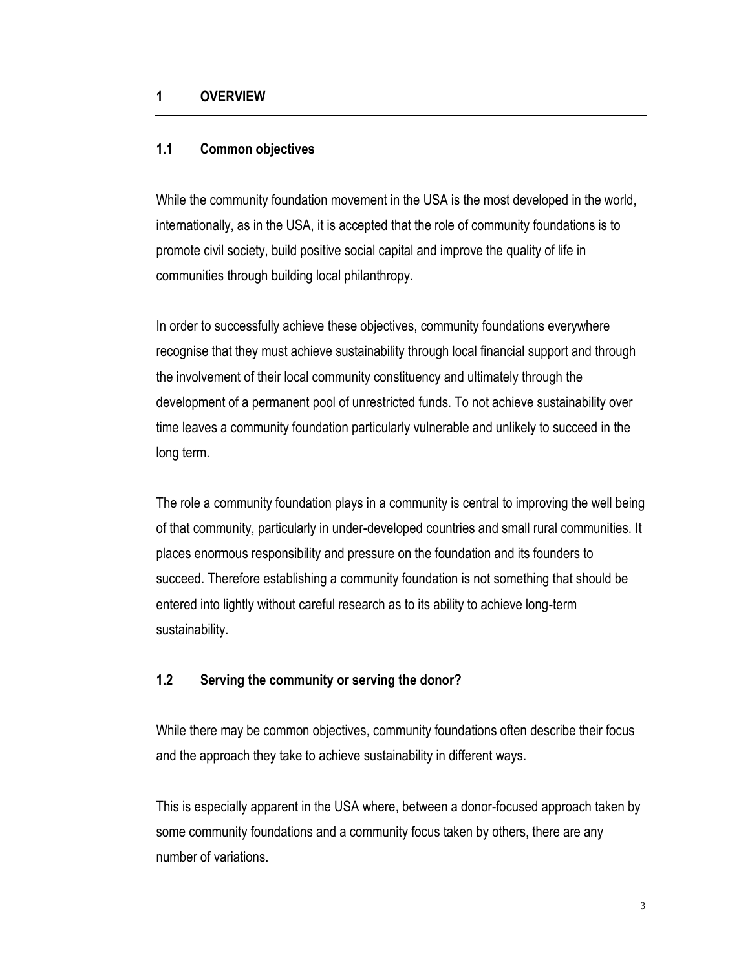#### **1 OVERVIEW**

#### **1.1 Common objectives**

While the community foundation movement in the USA is the most developed in the world, internationally, as in the USA, it is accepted that the role of community foundations is to promote civil society, build positive social capital and improve the quality of life in communities through building local philanthropy.

In order to successfully achieve these objectives, community foundations everywhere recognise that they must achieve sustainability through local financial support and through the involvement of their local community constituency and ultimately through the development of a permanent pool of unrestricted funds. To not achieve sustainability over time leaves a community foundation particularly vulnerable and unlikely to succeed in the long term.

The role a community foundation plays in a community is central to improving the well being of that community, particularly in under-developed countries and small rural communities. It places enormous responsibility and pressure on the foundation and its founders to succeed. Therefore establishing a community foundation is not something that should be entered into lightly without careful research as to its ability to achieve long-term sustainability.

#### **1.2 Serving the community or serving the donor?**

While there may be common objectives, community foundations often describe their focus and the approach they take to achieve sustainability in different ways.

This is especially apparent in the USA where, between a donor-focused approach taken by some community foundations and a community focus taken by others, there are any number of variations.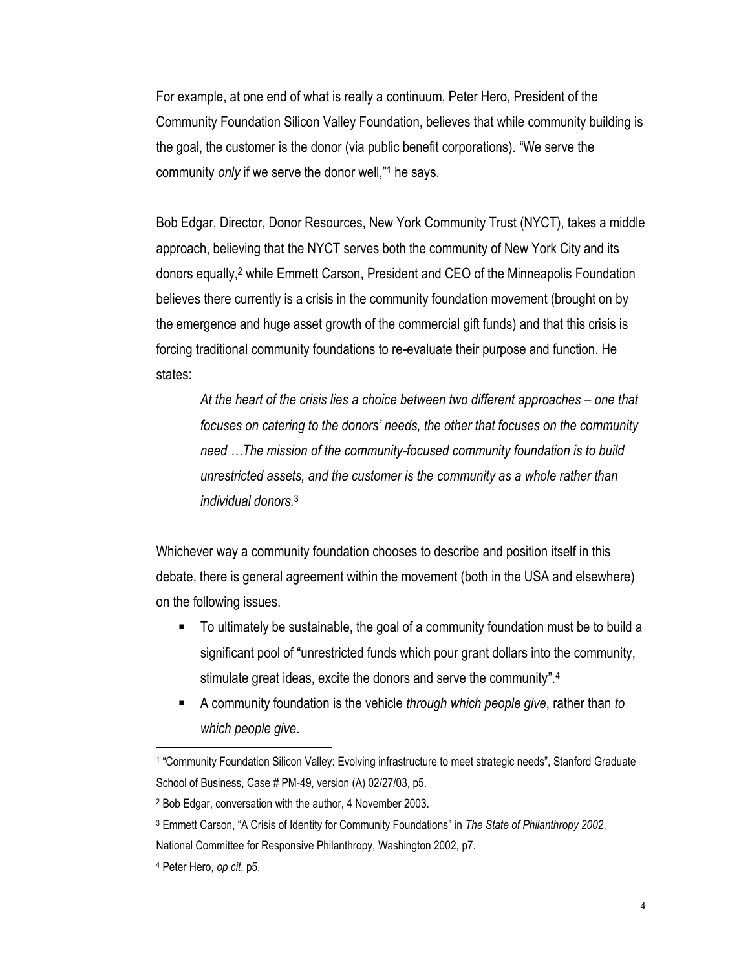For example, at one end of what is really a continuum, Peter Hero, President of the Community Foundation Silicon Valley Foundation, believes that while community building is the goal, the customer is the donor (via public benefit corporations). "We serve the community *only* if we serve the donor well," <sup>1</sup> he says.

Bob Edgar, Director, Donor Resources, New York Community Trust (NYCT), takes a middle approach, believing that the NYCT serves both the community of New York City and its donors equally, <sup>2</sup> while Emmett Carson, President and CEO of the Minneapolis Foundation believes there currently is a crisis in the community foundation movement (brought on by the emergence and huge asset growth of the commercial gift funds) and that this crisis is forcing traditional community foundations to re-evaluate their purpose and function. He states:

*At the heart of the crisis lies a choice between two different approaches – one that focuses on catering to the donors' needs, the other that focuses on the community need …The mission of the community-focused community foundation is to build unrestricted assets, and the customer is the community as a whole rather than individual donors.*<sup>3</sup>

Whichever way a community foundation chooses to describe and position itself in this debate, there is general agreement within the movement (both in the USA and elsewhere) on the following issues.

- To ultimately be sustainable, the goal of a community foundation must be to build a significant pool of "unrestricted funds which pour grant dollars into the community, stimulate great ideas, excite the donors and serve the community".<sup>4</sup>
- A community foundation is the vehicle *through which people give*, rather than *to which people give*.

<sup>1</sup> "Community Foundation Silicon Valley: Evolving infrastructure to meet strategic needs", Stanford Graduate School of Business, Case # PM-49, version (A) 02/27/03, p5.

<sup>2</sup> Bob Edgar, conversation with the author, 4 November 2003.

<sup>3</sup> Emmett Carson, "A Crisis of Identity for Community Foundations" in *The State of Philanthropy 2002*,

National Committee for Responsive Philanthropy, Washington 2002, p7.

<sup>4</sup> Peter Hero, *op cit*, p5.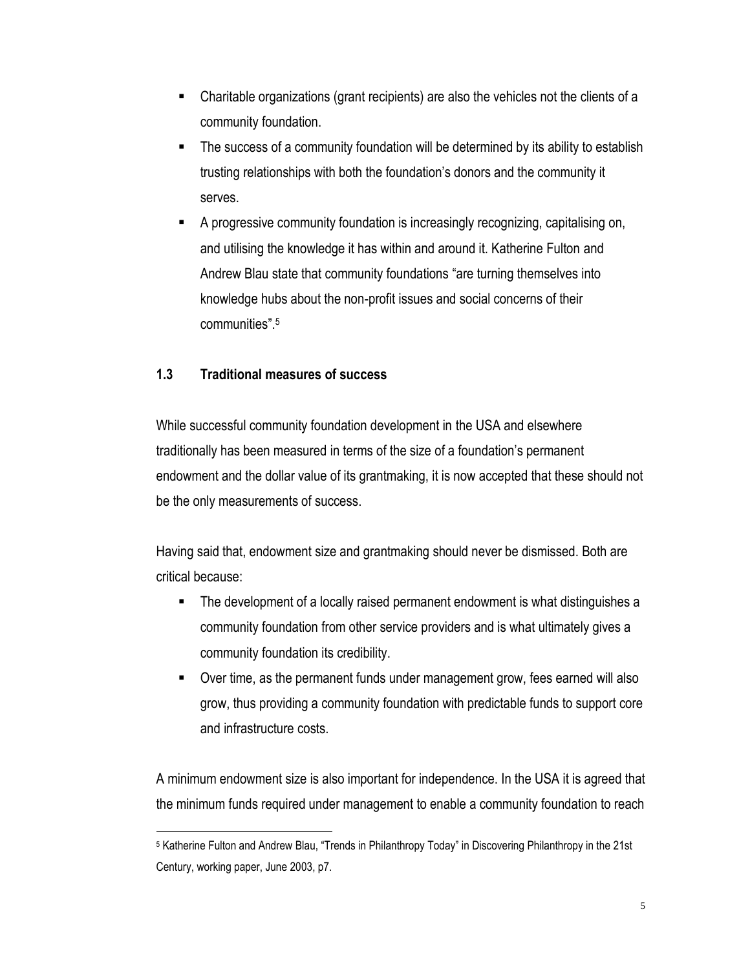- Charitable organizations (grant recipients) are also the vehicles not the clients of a community foundation.
- The success of a community foundation will be determined by its ability to establish trusting relationships with both the foundation's donors and the community it serves.
- A progressive community foundation is increasingly recognizing, capitalising on, and utilising the knowledge it has within and around it. Katherine Fulton and Andrew Blau state that community foundations "are turning themselves into knowledge hubs about the non-profit issues and social concerns of their communities". 5

## **1.3 Traditional measures of success**

While successful community foundation development in the USA and elsewhere traditionally has been measured in terms of the size of a foundation's permanent endowment and the dollar value of its grantmaking, it is now accepted that these should not be the only measurements of success.

Having said that, endowment size and grantmaking should never be dismissed. Both are critical because:

- **The development of a locally raised permanent endowment is what distinguishes a** community foundation from other service providers and is what ultimately gives a community foundation its credibility.
- Over time, as the permanent funds under management grow, fees earned will also grow, thus providing a community foundation with predictable funds to support core and infrastructure costs.

A minimum endowment size is also important for independence. In the USA it is agreed that the minimum funds required under management to enable a community foundation to reach

 $\overline{a}$ <sup>5</sup> Katherine Fulton and Andrew Blau, "Trends in Philanthropy Today" in Discovering Philanthropy in the 21st Century, working paper, June 2003, p7.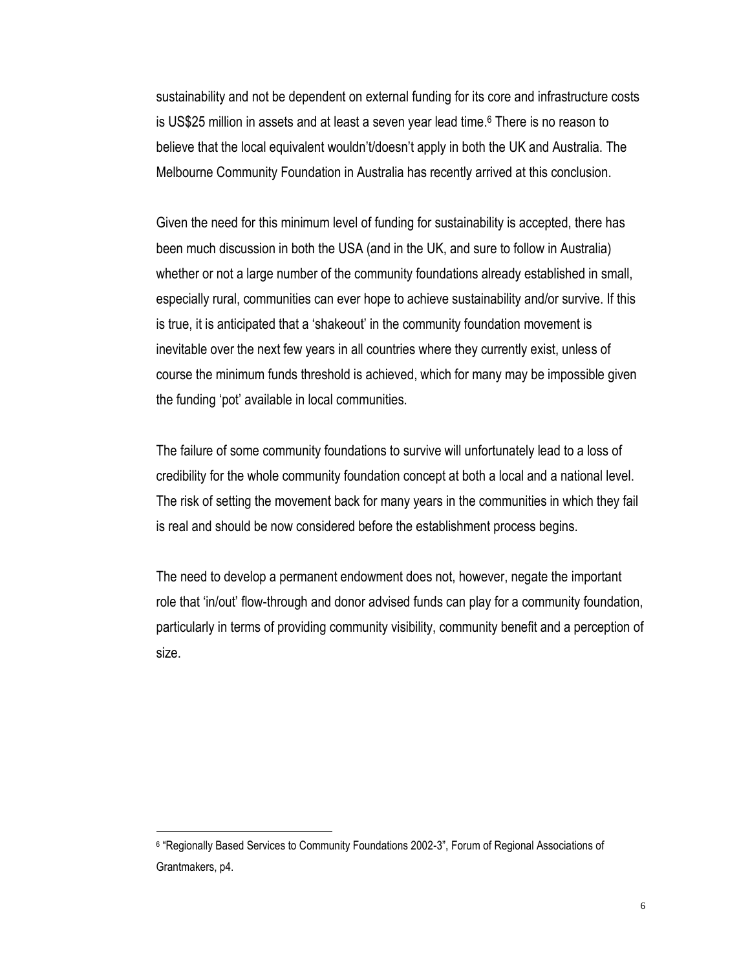sustainability and not be dependent on external funding for its core and infrastructure costs is US\$25 million in assets and at least a seven year lead time. <sup>6</sup> There is no reason to believe that the local equivalent wouldn't/doesn't apply in both the UK and Australia. The Melbourne Community Foundation in Australia has recently arrived at this conclusion.

Given the need for this minimum level of funding for sustainability is accepted, there has been much discussion in both the USA (and in the UK, and sure to follow in Australia) whether or not a large number of the community foundations already established in small, especially rural, communities can ever hope to achieve sustainability and/or survive. If this is true, it is anticipated that a 'shakeout' in the community foundation movement is inevitable over the next few years in all countries where they currently exist, unless of course the minimum funds threshold is achieved, which for many may be impossible given the funding 'pot' available in local communities.

The failure of some community foundations to survive will unfortunately lead to a loss of credibility for the whole community foundation concept at both a local and a national level. The risk of setting the movement back for many years in the communities in which they fail is real and should be now considered before the establishment process begins.

The need to develop a permanent endowment does not, however, negate the important role that 'in/out' flow-through and donor advised funds can play for a community foundation, particularly in terms of providing community visibility, community benefit and a perception of size.

<sup>6</sup> "Regionally Based Services to Community Foundations 2002-3", Forum of Regional Associations of Grantmakers, p4.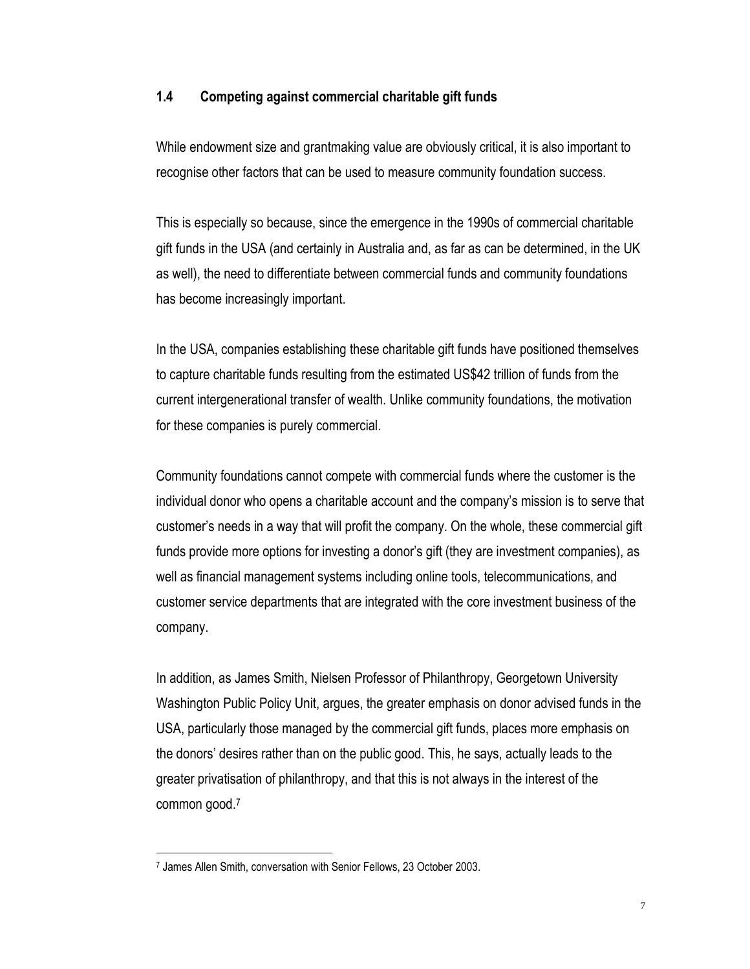#### **1.4 Competing against commercial charitable gift funds**

While endowment size and grantmaking value are obviously critical, it is also important to recognise other factors that can be used to measure community foundation success.

This is especially so because, since the emergence in the 1990s of commercial charitable gift funds in the USA (and certainly in Australia and, as far as can be determined, in the UK as well), the need to differentiate between commercial funds and community foundations has become increasingly important.

In the USA, companies establishing these charitable gift funds have positioned themselves to capture charitable funds resulting from the estimated US\$42 trillion of funds from the current intergenerational transfer of wealth. Unlike community foundations, the motivation for these companies is purely commercial.

Community foundations cannot compete with commercial funds where the customer is the individual donor who opens a charitable account and the company's mission is to serve that customer's needs in a way that will profit the company. On the whole, these commercial gift funds provide more options for investing a donor's gift (they are investment companies), as well as financial management systems including online tools, telecommunications, and customer service departments that are integrated with the core investment business of the company.

In addition, as James Smith, Nielsen Professor of Philanthropy, Georgetown University Washington Public Policy Unit, argues, the greater emphasis on donor advised funds in the USA, particularly those managed by the commercial gift funds, places more emphasis on the donors' desires rather than on the public good. This, he says, actually leads to the greater privatisation of philanthropy, and that this is not always in the interest of the common good.<sup>7</sup>

<sup>7</sup> James Allen Smith, conversation with Senior Fellows, 23 October 2003.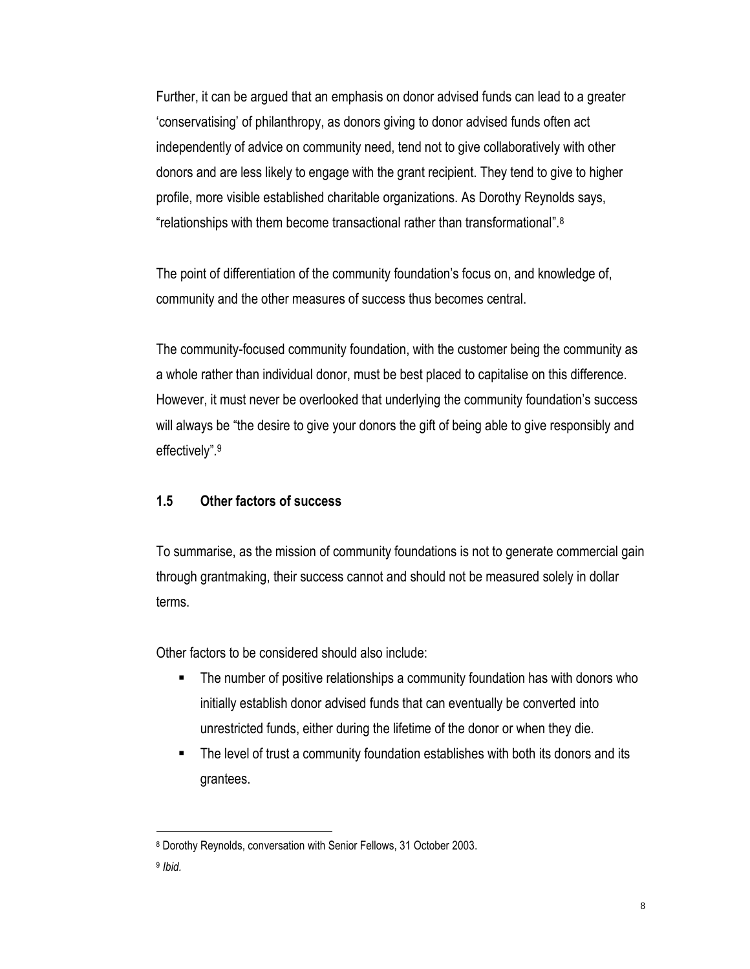Further, it can be argued that an emphasis on donor advised funds can lead to a greater 'conservatising' of philanthropy, as donors giving to donor advised funds often act independently of advice on community need, tend not to give collaboratively with other donors and are less likely to engage with the grant recipient. They tend to give to higher profile, more visible established charitable organizations. As Dorothy Reynolds says, "relationships with them become transactional rather than transformational". 8

The point of differentiation of the community foundation's focus on, and knowledge of, community and the other measures of success thus becomes central.

The community-focused community foundation, with the customer being the community as a whole rather than individual donor, must be best placed to capitalise on this difference. However, it must never be overlooked that underlying the community foundation's success will always be "the desire to give your donors the gift of being able to give responsibly and effectively". 9

## **1.5 Other factors of success**

To summarise, as the mission of community foundations is not to generate commercial gain through grantmaking, their success cannot and should not be measured solely in dollar terms.

Other factors to be considered should also include:

- The number of positive relationships a community foundation has with donors who initially establish donor advised funds that can eventually be converted into unrestricted funds, either during the lifetime of the donor or when they die.
- The level of trust a community foundation establishes with both its donors and its grantees.

<sup>8</sup> Dorothy Reynolds, conversation with Senior Fellows, 31 October 2003.

<sup>9</sup> *Ibid.*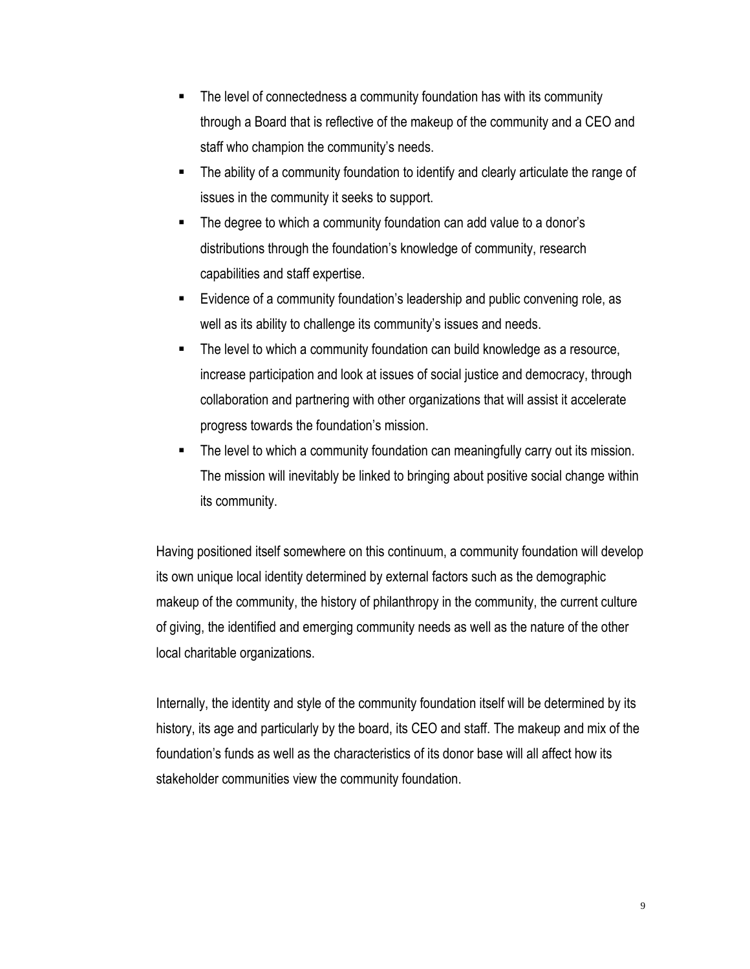- The level of connectedness a community foundation has with its community through a Board that is reflective of the makeup of the community and a CEO and staff who champion the community's needs.
- The ability of a community foundation to identify and clearly articulate the range of issues in the community it seeks to support.
- The degree to which a community foundation can add value to a donor's distributions through the foundation's knowledge of community, research capabilities and staff expertise.
- Evidence of a community foundation's leadership and public convening role, as well as its ability to challenge its community's issues and needs.
- The level to which a community foundation can build knowledge as a resource, increase participation and look at issues of social justice and democracy, through collaboration and partnering with other organizations that will assist it accelerate progress towards the foundation's mission.
- The level to which a community foundation can meaningfully carry out its mission. The mission will inevitably be linked to bringing about positive social change within its community.

Having positioned itself somewhere on this continuum, a community foundation will develop its own unique local identity determined by external factors such as the demographic makeup of the community, the history of philanthropy in the community, the current culture of giving, the identified and emerging community needs as well as the nature of the other local charitable organizations.

Internally, the identity and style of the community foundation itself will be determined by its history, its age and particularly by the board, its CEO and staff. The makeup and mix of the foundation's funds as well as the characteristics of its donor base will all affect how its stakeholder communities view the community foundation.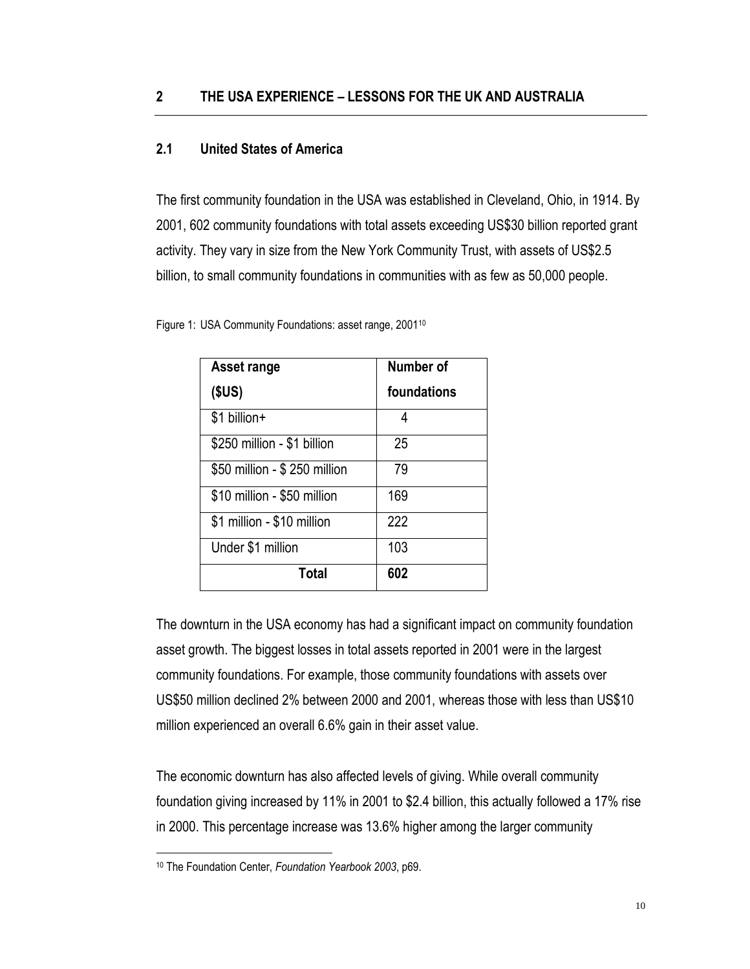### **2.1 United States of America**

The first community foundation in the USA was established in Cleveland, Ohio, in 1914. By 2001, 602 community foundations with total assets exceeding US\$30 billion reported grant activity. They vary in size from the New York Community Trust, with assets of US\$2.5 billion, to small community foundations in communities with as few as 50,000 people.

|  |  | Figure 1: USA Community Foundations: asset range, 2001 <sup>10</sup> |
|--|--|----------------------------------------------------------------------|
|--|--|----------------------------------------------------------------------|

| Asset range                  | Number of   |
|------------------------------|-------------|
| (SUS)                        | foundations |
| \$1 billion+                 | 4           |
| \$250 million - \$1 billion  | 25          |
| \$50 million - \$250 million | 79          |
| \$10 million - \$50 million  | 169         |
| \$1 million - \$10 million   | 222         |
| Under \$1 million            | 103         |
| Total                        | 602         |

The downturn in the USA economy has had a significant impact on community foundation asset growth. The biggest losses in total assets reported in 2001 were in the largest community foundations. For example, those community foundations with assets over US\$50 million declined 2% between 2000 and 2001, whereas those with less than US\$10 million experienced an overall 6.6% gain in their asset value.

The economic downturn has also affected levels of giving. While overall community foundation giving increased by 11% in 2001 to \$2.4 billion, this actually followed a 17% rise in 2000. This percentage increase was 13.6% higher among the larger community

<sup>10</sup> The Foundation Center, *Foundation Yearbook 2003*, p69.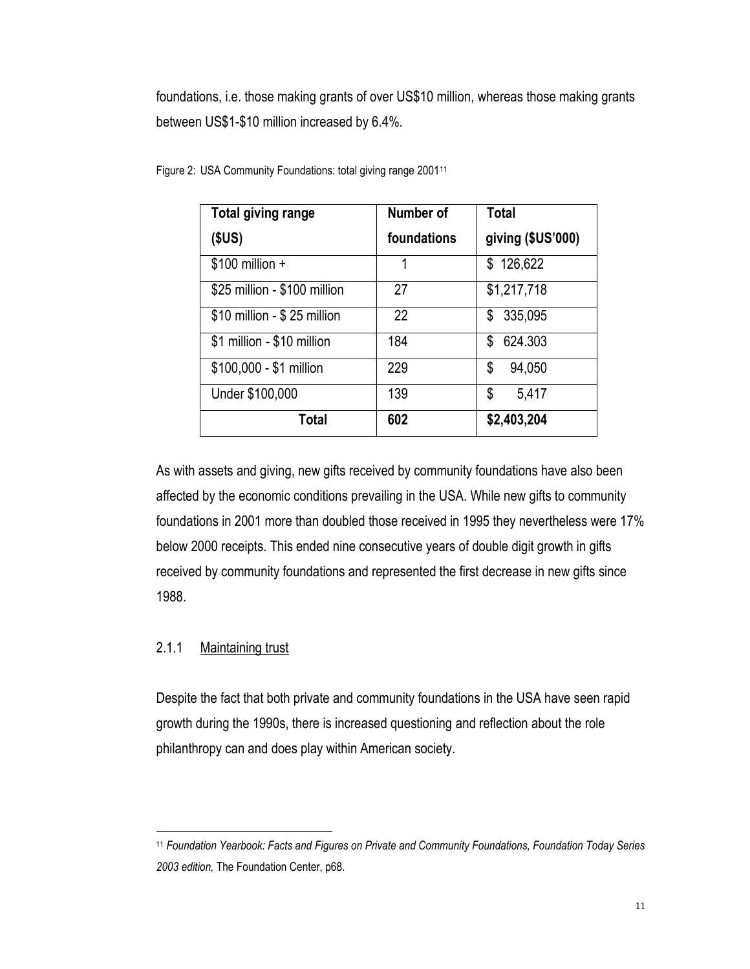foundations, i.e. those making grants of over US\$10 million, whereas those making grants between US\$1-\$10 million increased by 6.4%.

| <b>Total giving range</b>    | Number of   | <b>Total</b>      |
|------------------------------|-------------|-------------------|
| (SUS)                        | foundations | giving (\$US'000) |
| $$100$ million +             | 1           | \$126,622         |
| \$25 million - \$100 million | 27          | \$1,217,718       |
| \$10 million - \$25 million  | 22          | 335,095<br>S      |
| \$1 million - \$10 million   | 184         | 624.303<br>S.     |
| \$100,000 - \$1 million      | 229         | 94,050<br>\$      |
| Under \$100,000              | 139         | 5,417<br>\$       |
| Total                        | 602         | \$2,403,204       |

Figure 2: USA Community Foundations: total giving range 2001<sup>11</sup>

As with assets and giving, new gifts received by community foundations have also been affected by the economic conditions prevailing in the USA. While new gifts to community foundations in 2001 more than doubled those received in 1995 they nevertheless were 17% below 2000 receipts. This ended nine consecutive years of double digit growth in gifts received by community foundations and represented the first decrease in new gifts since 1988.

#### 2.1.1 Maintaining trust

 $\overline{a}$ 

Despite the fact that both private and community foundations in the USA have seen rapid growth during the 1990s, there is increased questioning and reflection about the role philanthropy can and does play within American society.

<sup>11</sup> *Foundation Yearbook: Facts and Figures on Private and Community Foundations, Foundation Today Series 2003 edition,* The Foundation Center, p68.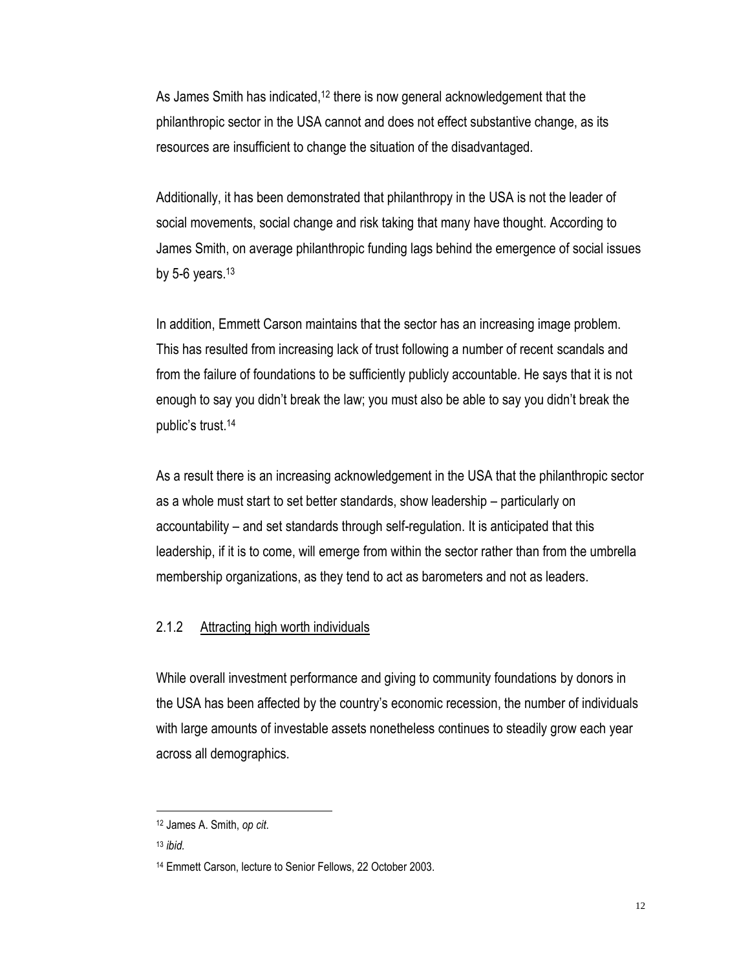As James Smith has indicated,<sup>12</sup> there is now general acknowledgement that the philanthropic sector in the USA cannot and does not effect substantive change, as its resources are insufficient to change the situation of the disadvantaged.

Additionally, it has been demonstrated that philanthropy in the USA is not the leader of social movements, social change and risk taking that many have thought. According to James Smith, on average philanthropic funding lags behind the emergence of social issues by 5-6 years. $13$ 

In addition, Emmett Carson maintains that the sector has an increasing image problem. This has resulted from increasing lack of trust following a number of recent scandals and from the failure of foundations to be sufficiently publicly accountable. He says that it is not enough to say you didn't break the law; you must also be able to say you didn't break the public's trust.<sup>14</sup>

As a result there is an increasing acknowledgement in the USA that the philanthropic sector as a whole must start to set better standards, show leadership – particularly on accountability – and set standards through self-regulation. It is anticipated that this leadership, if it is to come, will emerge from within the sector rather than from the umbrella membership organizations, as they tend to act as barometers and not as leaders.

#### 2.1.2 Attracting high worth individuals

While overall investment performance and giving to community foundations by donors in the USA has been affected by the country's economic recession, the number of individuals with large amounts of investable assets nonetheless continues to steadily grow each year across all demographics.

<sup>12</sup> James A. Smith, *op cit*.

<sup>13</sup> *ibid.*

<sup>14</sup> Emmett Carson, lecture to Senior Fellows, 22 October 2003.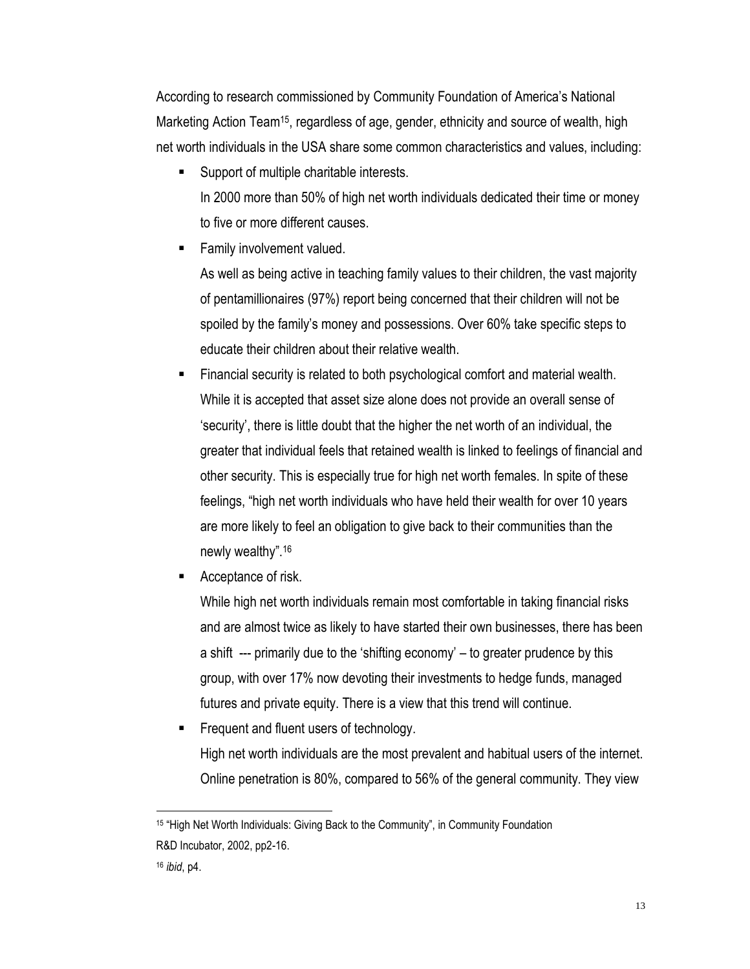According to research commissioned by Community Foundation of America's National Marketing Action Team15, regardless of age, gender, ethnicity and source of wealth, high net worth individuals in the USA share some common characteristics and values, including:

- Support of multiple charitable interests. In 2000 more than 50% of high net worth individuals dedicated their time or money to five or more different causes.
- Family involvement valued.

As well as being active in teaching family values to their children, the vast majority of pentamillionaires (97%) report being concerned that their children will not be spoiled by the family's money and possessions. Over 60% take specific steps to educate their children about their relative wealth.

- Financial security is related to both psychological comfort and material wealth. While it is accepted that asset size alone does not provide an overall sense of 'security', there is little doubt that the higher the net worth of an individual, the greater that individual feels that retained wealth is linked to feelings of financial and other security. This is especially true for high net worth females. In spite of these feelings, "high net worth individuals who have held their wealth for over 10 years are more likely to feel an obligation to give back to their communities than the newly wealthy". 16
- Acceptance of risk.

While high net worth individuals remain most comfortable in taking financial risks and are almost twice as likely to have started their own businesses, there has been a shift --- primarily due to the 'shifting economy' – to greater prudence by this group, with over 17% now devoting their investments to hedge funds, managed futures and private equity. There is a view that this trend will continue.

 Frequent and fluent users of technology. High net worth individuals are the most prevalent and habitual users of the internet. Online penetration is 80%, compared to 56% of the general community. They view

 $\overline{a}$ <sup>15</sup> "High Net Worth Individuals: Giving Back to the Community", in Community Foundation R&D Incubator, 2002, pp2-16.

<sup>16</sup> *ibid*, p4.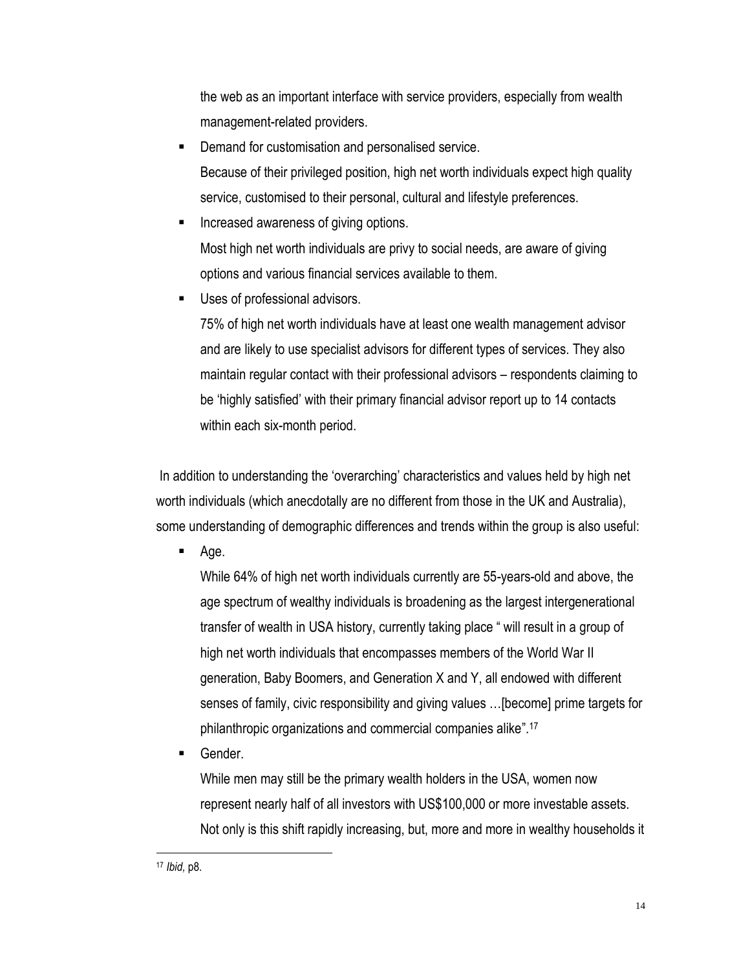the web as an important interface with service providers, especially from wealth management-related providers.

- Demand for customisation and personalised service. Because of their privileged position, high net worth individuals expect high quality service, customised to their personal, cultural and lifestyle preferences.
- Increased awareness of giving options. Most high net worth individuals are privy to social needs, are aware of giving options and various financial services available to them.
- Uses of professional advisors.

75% of high net worth individuals have at least one wealth management advisor and are likely to use specialist advisors for different types of services. They also maintain regular contact with their professional advisors – respondents claiming to be 'highly satisfied' with their primary financial advisor report up to 14 contacts within each six-month period.

In addition to understanding the 'overarching' characteristics and values held by high net worth individuals (which anecdotally are no different from those in the UK and Australia), some understanding of demographic differences and trends within the group is also useful:

Age.

While 64% of high net worth individuals currently are 55-years-old and above, the age spectrum of wealthy individuals is broadening as the largest intergenerational transfer of wealth in USA history, currently taking place " will result in a group of high net worth individuals that encompasses members of the World War II generation, Baby Boomers, and Generation X and Y, all endowed with different senses of family, civic responsibility and giving values …[become] prime targets for philanthropic organizations and commercial companies alike".<sup>17</sup>

Gender.

While men may still be the primary wealth holders in the USA, women now represent nearly half of all investors with US\$100,000 or more investable assets. Not only is this shift rapidly increasing, but, more and more in wealthy households it

<sup>17</sup> *Ibid,* p8.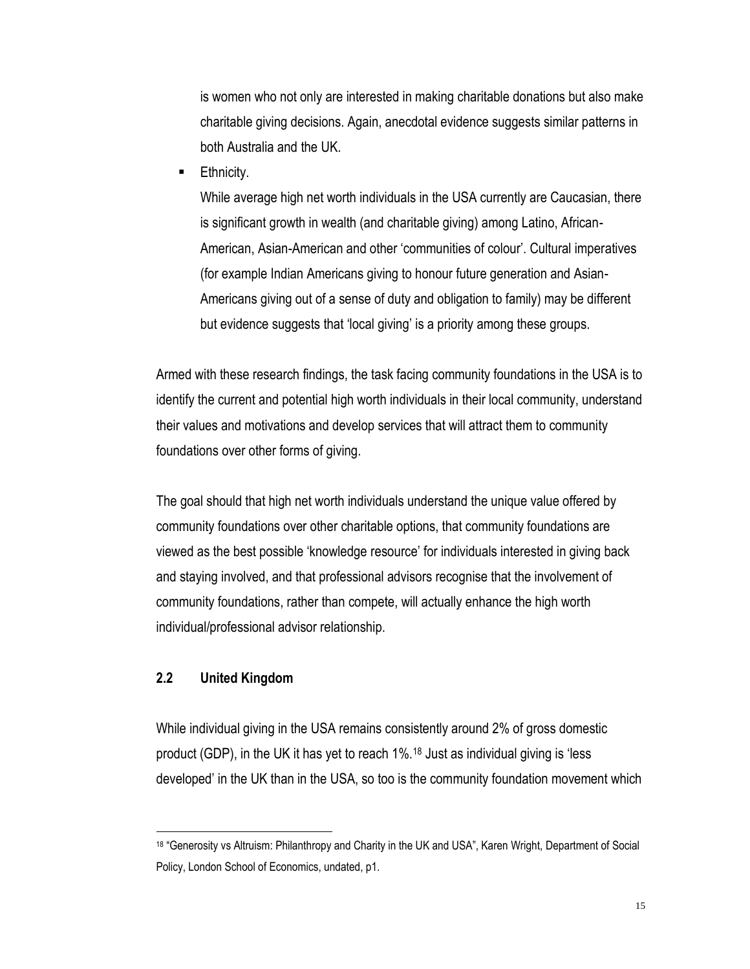is women who not only are interested in making charitable donations but also make charitable giving decisions. Again, anecdotal evidence suggests similar patterns in both Australia and the UK.

Ethnicity.

While average high net worth individuals in the USA currently are Caucasian, there is significant growth in wealth (and charitable giving) among Latino, African-American, Asian-American and other 'communities of colour'. Cultural imperatives (for example Indian Americans giving to honour future generation and Asian-Americans giving out of a sense of duty and obligation to family) may be different but evidence suggests that 'local giving' is a priority among these groups.

Armed with these research findings, the task facing community foundations in the USA is to identify the current and potential high worth individuals in their local community, understand their values and motivations and develop services that will attract them to community foundations over other forms of giving.

The goal should that high net worth individuals understand the unique value offered by community foundations over other charitable options, that community foundations are viewed as the best possible 'knowledge resource' for individuals interested in giving back and staying involved, and that professional advisors recognise that the involvement of community foundations, rather than compete, will actually enhance the high worth individual/professional advisor relationship.

#### **2.2 United Kingdom**

 $\overline{a}$ 

While individual giving in the USA remains consistently around 2% of gross domestic product (GDP), in the UK it has yet to reach 1%.<sup>18</sup> Just as individual giving is 'less developed' in the UK than in the USA, so too is the community foundation movement which

<sup>18</sup> "Generosity vs Altruism: Philanthropy and Charity in the UK and USA", Karen Wright, Department of Social Policy, London School of Economics, undated, p1.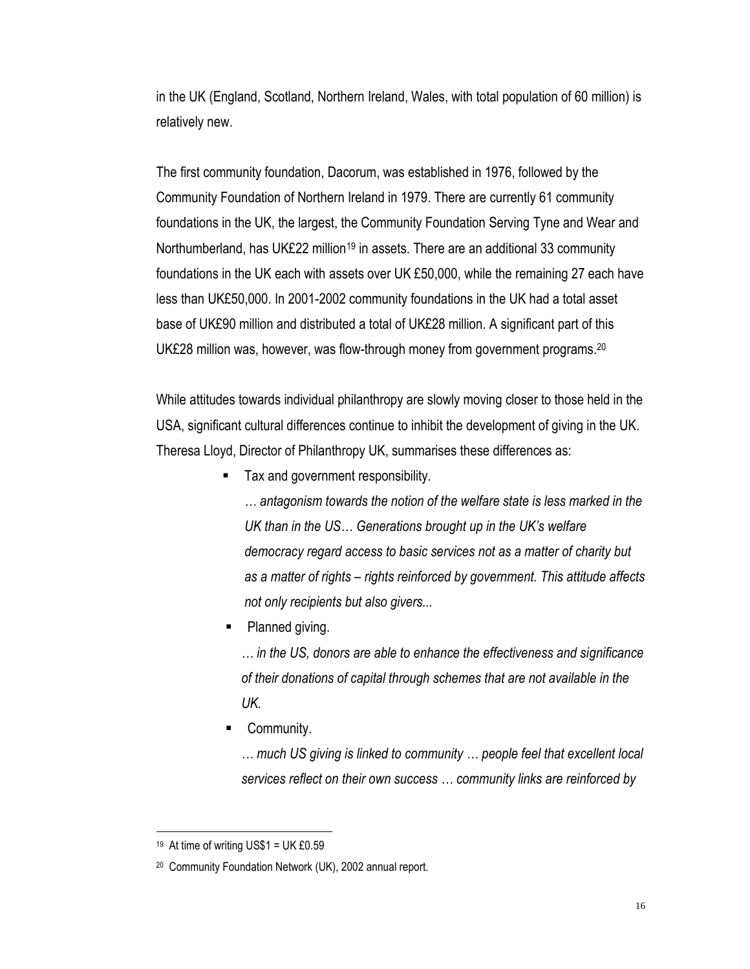in the UK (England, Scotland, Northern Ireland, Wales, with total population of 60 million) is relatively new.

The first community foundation, Dacorum, was established in 1976, followed by the Community Foundation of Northern Ireland in 1979. There are currently 61 community foundations in the UK, the largest, the Community Foundation Serving Tyne and Wear and Northumberland, has UK£22 million<sup>19</sup> in assets. There are an additional 33 community foundations in the UK each with assets over UK £50,000, while the remaining 27 each have less than UK£50,000. In 2001-2002 community foundations in the UK had a total asset base of UK£90 million and distributed a total of UK£28 million. A significant part of this UK£28 million was, however, was flow-through money from government programs.<sup>20</sup>

While attitudes towards individual philanthropy are slowly moving closer to those held in the USA, significant cultural differences continue to inhibit the development of giving in the UK. Theresa Lloyd, Director of Philanthropy UK, summarises these differences as:

■ Tax and government responsibility.

*… antagonism towards the notion of the welfare state is less marked in the UK than in the US… Generations brought up in the UK's welfare democracy regard access to basic services not as a matter of charity but as a matter of rights – rights reinforced by government. This attitude affects not only recipients but also givers...*

• Planned giving.

*… in the US, donors are able to enhance the effectiveness and significance of their donations of capital through schemes that are not available in the UK.*

Community.

*… much US giving is linked to community … people feel that excellent local services reflect on their own success … community links are reinforced by* 

<sup>19</sup> At time of writing US\$1 = UK £0.59

<sup>20</sup> Community Foundation Network (UK), 2002 annual report.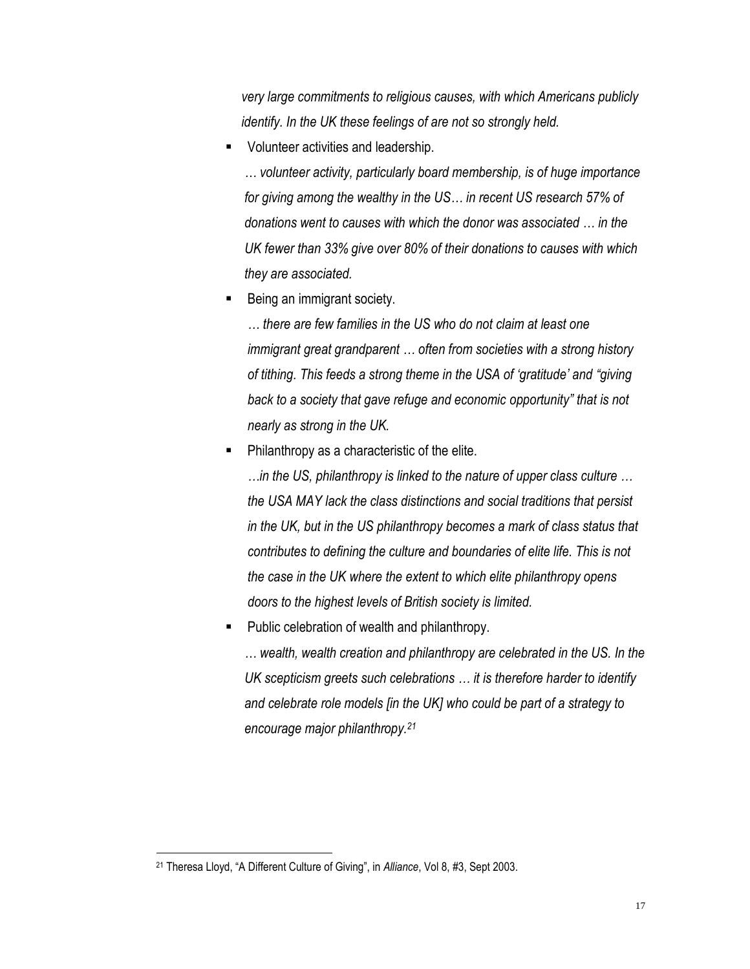*very large commitments to religious causes, with which Americans publicly identify. In the UK these feelings of are not so strongly held.*

Volunteer activities and leadership.

*… volunteer activity, particularly board membership, is of huge importance for giving among the wealthy in the US… in recent US research 57% of donations went to causes with which the donor was associated … in the UK fewer than 33% give over 80% of their donations to causes with which they are associated.*

Being an immigrant society.

*… there are few families in the US who do not claim at least one immigrant great grandparent … often from societies with a strong history of tithing. This feeds a strong theme in the USA of 'gratitude' and "giving back to a society that gave refuge and economic opportunity" that is not nearly as strong in the UK.*

Philanthropy as a characteristic of the elite.

*…in the US, philanthropy is linked to the nature of upper class culture … the USA MAY lack the class distinctions and social traditions that persist in the UK, but in the US philanthropy becomes a mark of class status that contributes to defining the culture and boundaries of elite life. This is not the case in the UK where the extent to which elite philanthropy opens doors to the highest levels of British society is limited.*

Public celebration of wealth and philanthropy.

*… wealth, wealth creation and philanthropy are celebrated in the US. In the UK scepticism greets such celebrations … it is therefore harder to identify and celebrate role models [in the UK] who could be part of a strategy to encourage major philanthropy.<sup>21</sup>*

<sup>21</sup> Theresa Lloyd, "A Different Culture of Giving", in *Alliance*, Vol 8, #3, Sept 2003.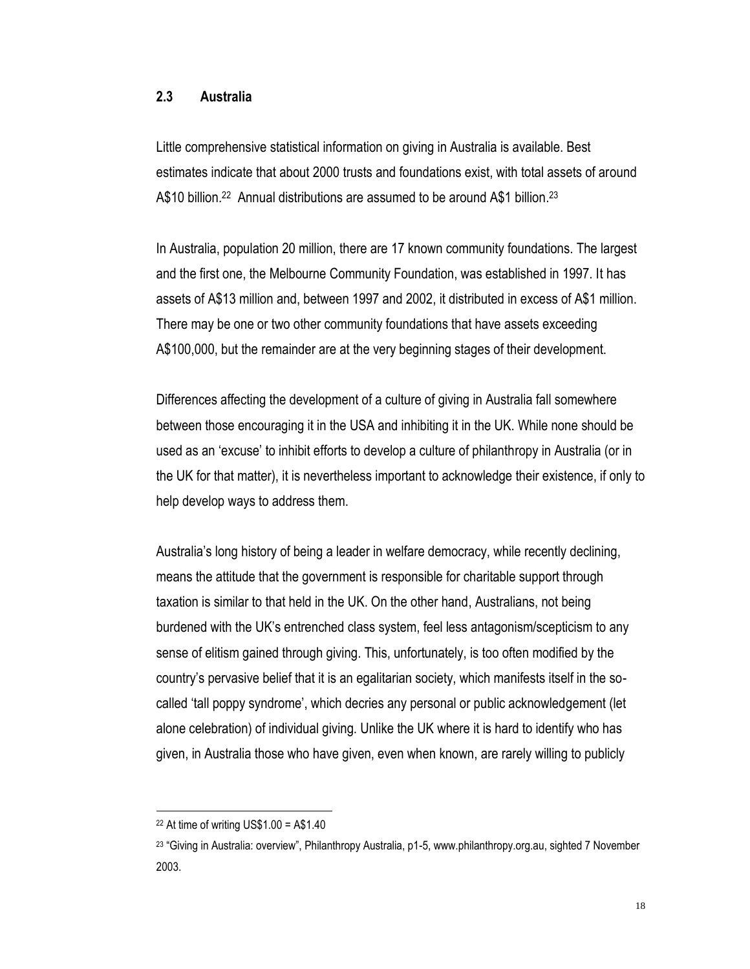#### **2.3 Australia**

Little comprehensive statistical information on giving in Australia is available. Best estimates indicate that about 2000 trusts and foundations exist, with total assets of around A\$10 billion.<sup>22</sup> Annual distributions are assumed to be around A\$1 billion.<sup>23</sup>

In Australia, population 20 million, there are 17 known community foundations. The largest and the first one, the Melbourne Community Foundation, was established in 1997. It has assets of A\$13 million and, between 1997 and 2002, it distributed in excess of A\$1 million. There may be one or two other community foundations that have assets exceeding A\$100,000, but the remainder are at the very beginning stages of their development.

Differences affecting the development of a culture of giving in Australia fall somewhere between those encouraging it in the USA and inhibiting it in the UK. While none should be used as an 'excuse' to inhibit efforts to develop a culture of philanthropy in Australia (or in the UK for that matter), it is nevertheless important to acknowledge their existence, if only to help develop ways to address them.

Australia's long history of being a leader in welfare democracy, while recently declining, means the attitude that the government is responsible for charitable support through taxation is similar to that held in the UK. On the other hand, Australians, not being burdened with the UK's entrenched class system, feel less antagonism/scepticism to any sense of elitism gained through giving. This, unfortunately, is too often modified by the country's pervasive belief that it is an egalitarian society, which manifests itself in the socalled 'tall poppy syndrome', which decries any personal or public acknowledgement (let alone celebration) of individual giving. Unlike the UK where it is hard to identify who has given, in Australia those who have given, even when known, are rarely willing to publicly

 $22$  At time of writing US\$1.00 = A\$1.40

<sup>23</sup> "Giving in Australia: overview", Philanthropy Australia, p1-5, www.philanthropy.org.au, sighted 7 November 2003.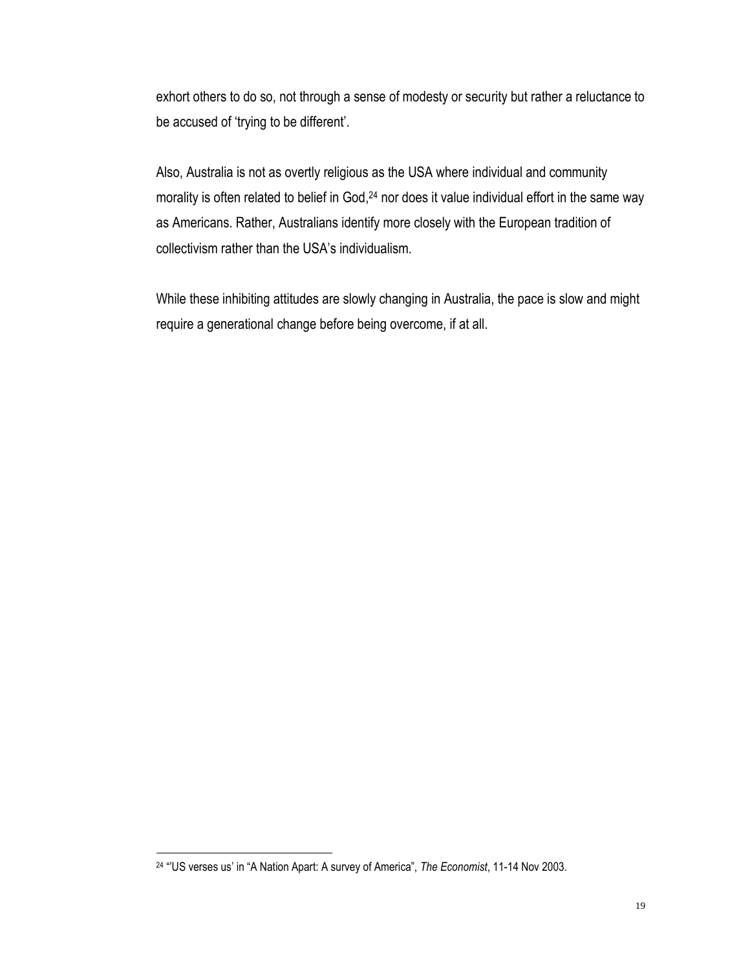exhort others to do so, not through a sense of modesty or security but rather a reluctance to be accused of 'trying to be different'.

Also, Australia is not as overtly religious as the USA where individual and community morality is often related to belief in God,<sup>24</sup> nor does it value individual effort in the same way as Americans. Rather, Australians identify more closely with the European tradition of collectivism rather than the USA's individualism.

While these inhibiting attitudes are slowly changing in Australia, the pace is slow and might require a generational change before being overcome, if at all.

<sup>24</sup> "'US verses us' in "A Nation Apart: A survey of America", *The Economist*, 11-14 Nov 2003.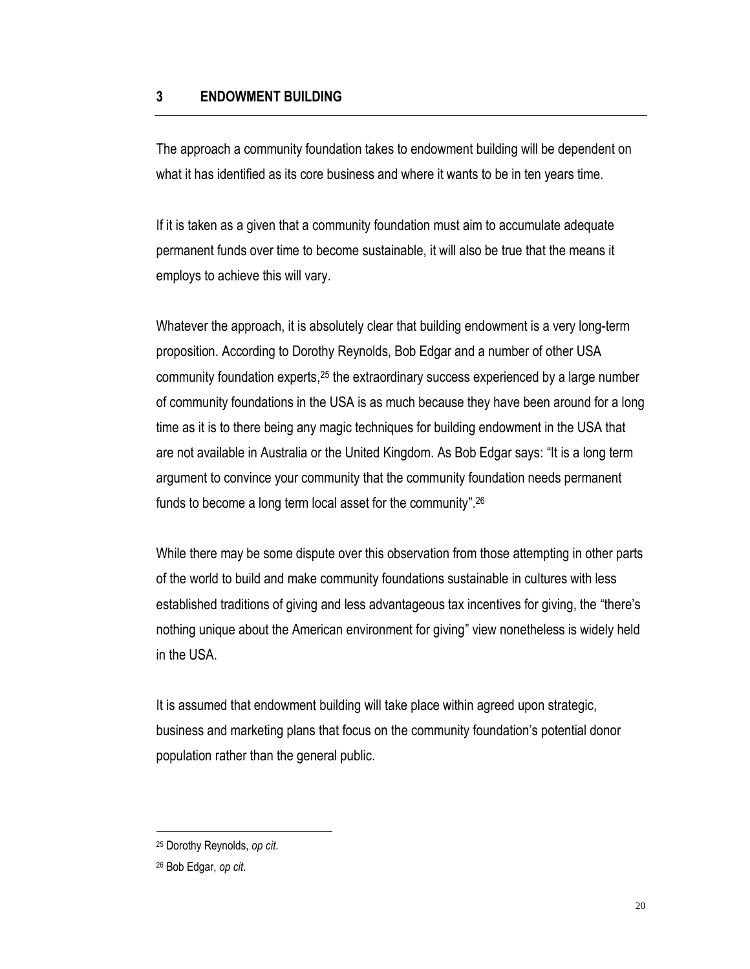#### **3 ENDOWMENT BUILDING**

The approach a community foundation takes to endowment building will be dependent on what it has identified as its core business and where it wants to be in ten years time.

If it is taken as a given that a community foundation must aim to accumulate adequate permanent funds over time to become sustainable, it will also be true that the means it employs to achieve this will vary.

Whatever the approach, it is absolutely clear that building endowment is a very long-term proposition. According to Dorothy Reynolds, Bob Edgar and a number of other USA community foundation experts, <sup>25</sup> the extraordinary success experienced by a large number of community foundations in the USA is as much because they have been around for a long time as it is to there being any magic techniques for building endowment in the USA that are not available in Australia or the United Kingdom. As Bob Edgar says: "It is a long term argument to convince your community that the community foundation needs permanent funds to become a long term local asset for the community".<sup>26</sup>

While there may be some dispute over this observation from those attempting in other parts of the world to build and make community foundations sustainable in cultures with less established traditions of giving and less advantageous tax incentives for giving, the "there's nothing unique about the American environment for giving" view nonetheless is widely held in the USA.

It is assumed that endowment building will take place within agreed upon strategic, business and marketing plans that focus on the community foundation's potential donor population rather than the general public.

<sup>25</sup> Dorothy Reynolds, *op cit*.

<sup>26</sup> Bob Edgar, *op cit*.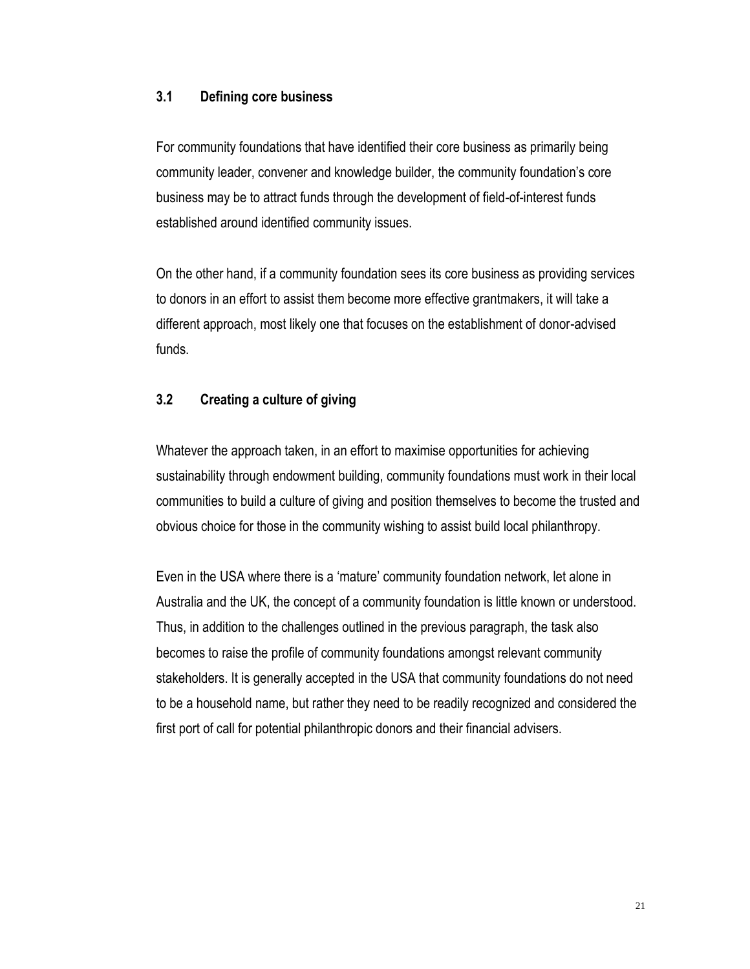### **3.1 Defining core business**

For community foundations that have identified their core business as primarily being community leader, convener and knowledge builder, the community foundation's core business may be to attract funds through the development of field-of-interest funds established around identified community issues.

On the other hand, if a community foundation sees its core business as providing services to donors in an effort to assist them become more effective grantmakers, it will take a different approach, most likely one that focuses on the establishment of donor-advised funds.

## **3.2 Creating a culture of giving**

Whatever the approach taken, in an effort to maximise opportunities for achieving sustainability through endowment building, community foundations must work in their local communities to build a culture of giving and position themselves to become the trusted and obvious choice for those in the community wishing to assist build local philanthropy.

Even in the USA where there is a 'mature' community foundation network, let alone in Australia and the UK, the concept of a community foundation is little known or understood. Thus, in addition to the challenges outlined in the previous paragraph, the task also becomes to raise the profile of community foundations amongst relevant community stakeholders. It is generally accepted in the USA that community foundations do not need to be a household name, but rather they need to be readily recognized and considered the first port of call for potential philanthropic donors and their financial advisers.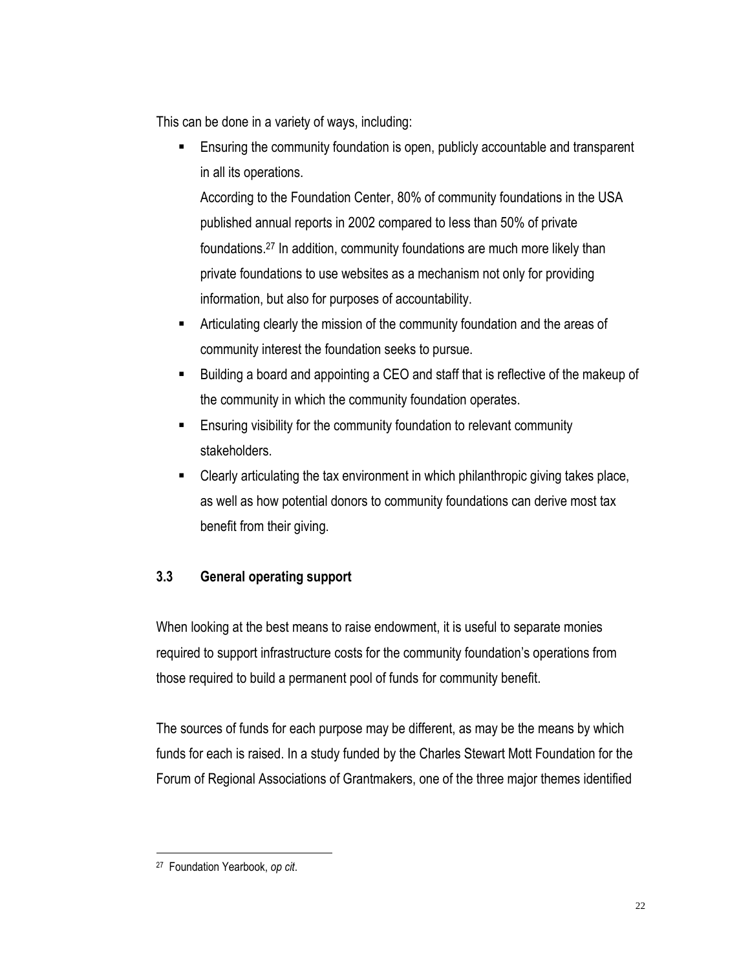This can be done in a variety of ways, including:

 Ensuring the community foundation is open, publicly accountable and transparent in all its operations.

According to the Foundation Center, 80% of community foundations in the USA published annual reports in 2002 compared to less than 50% of private foundations.<sup>27</sup> In addition, community foundations are much more likely than private foundations to use websites as a mechanism not only for providing information, but also for purposes of accountability.

- Articulating clearly the mission of the community foundation and the areas of community interest the foundation seeks to pursue.
- Building a board and appointing a CEO and staff that is reflective of the makeup of the community in which the community foundation operates.
- Ensuring visibility for the community foundation to relevant community stakeholders.
- Clearly articulating the tax environment in which philanthropic giving takes place, as well as how potential donors to community foundations can derive most tax benefit from their giving.

## **3.3 General operating support**

When looking at the best means to raise endowment, it is useful to separate monies required to support infrastructure costs for the community foundation's operations from those required to build a permanent pool of funds for community benefit.

The sources of funds for each purpose may be different, as may be the means by which funds for each is raised. In a study funded by the Charles Stewart Mott Foundation for the Forum of Regional Associations of Grantmakers, one of the three major themes identified

<sup>27</sup> Foundation Yearbook, *op cit*.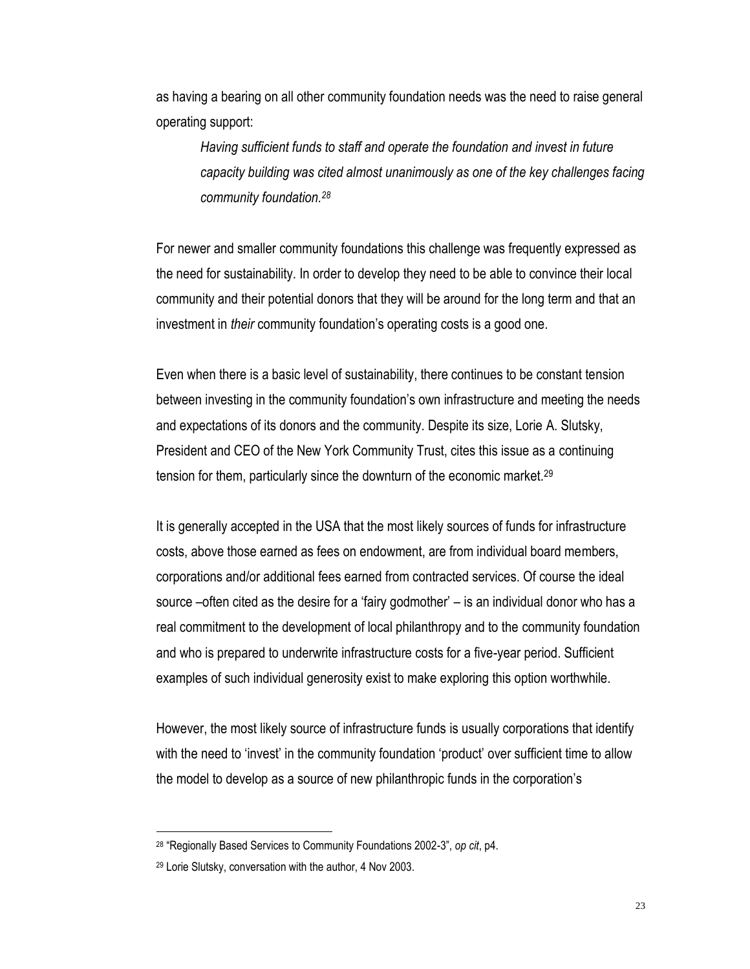as having a bearing on all other community foundation needs was the need to raise general operating support:

*Having sufficient funds to staff and operate the foundation and invest in future capacity building was cited almost unanimously as one of the key challenges facing community foundation.<sup>28</sup>*

For newer and smaller community foundations this challenge was frequently expressed as the need for sustainability. In order to develop they need to be able to convince their local community and their potential donors that they will be around for the long term and that an investment in *their* community foundation's operating costs is a good one.

Even when there is a basic level of sustainability, there continues to be constant tension between investing in the community foundation's own infrastructure and meeting the needs and expectations of its donors and the community. Despite its size, Lorie A. Slutsky, President and CEO of the New York Community Trust, cites this issue as a continuing tension for them, particularly since the downturn of the economic market.<sup>29</sup>

It is generally accepted in the USA that the most likely sources of funds for infrastructure costs, above those earned as fees on endowment, are from individual board members, corporations and/or additional fees earned from contracted services. Of course the ideal source –often cited as the desire for a 'fairy godmother' – is an individual donor who has a real commitment to the development of local philanthropy and to the community foundation and who is prepared to underwrite infrastructure costs for a five-year period. Sufficient examples of such individual generosity exist to make exploring this option worthwhile.

However, the most likely source of infrastructure funds is usually corporations that identify with the need to 'invest' in the community foundation 'product' over sufficient time to allow the model to develop as a source of new philanthropic funds in the corporation's

<sup>28</sup> "Regionally Based Services to Community Foundations 2002-3", *op cit*, p4.

<sup>29</sup> Lorie Slutsky, conversation with the author, 4 Nov 2003.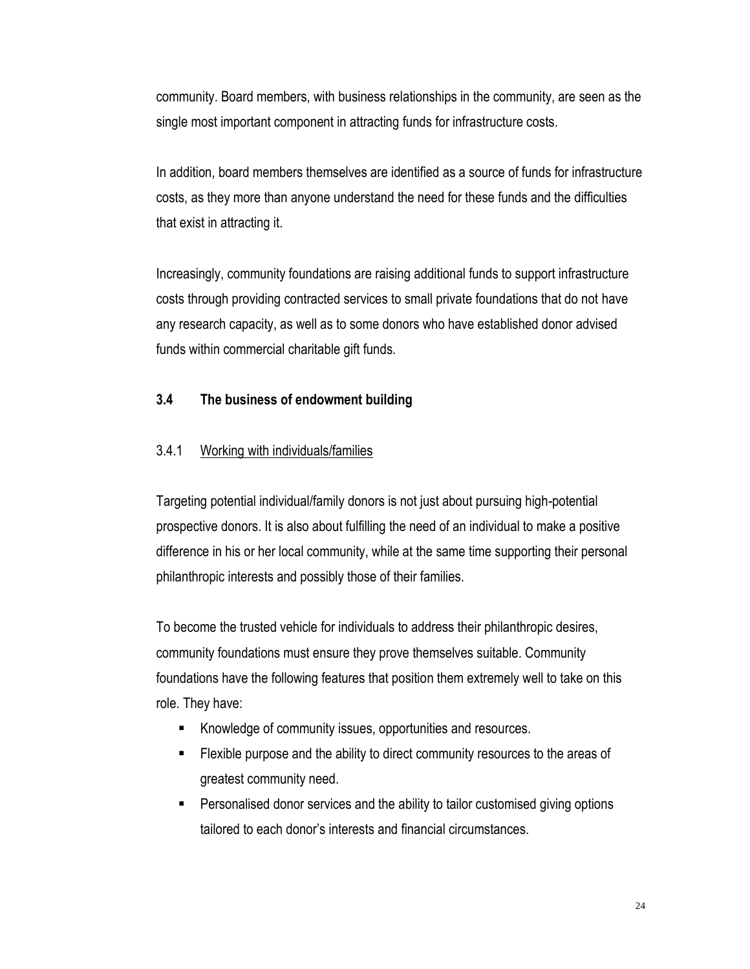community. Board members, with business relationships in the community, are seen as the single most important component in attracting funds for infrastructure costs.

In addition, board members themselves are identified as a source of funds for infrastructure costs, as they more than anyone understand the need for these funds and the difficulties that exist in attracting it.

Increasingly, community foundations are raising additional funds to support infrastructure costs through providing contracted services to small private foundations that do not have any research capacity, as well as to some donors who have established donor advised funds within commercial charitable gift funds.

## **3.4 The business of endowment building**

#### 3.4.1 Working with individuals/families

Targeting potential individual/family donors is not just about pursuing high-potential prospective donors. It is also about fulfilling the need of an individual to make a positive difference in his or her local community, while at the same time supporting their personal philanthropic interests and possibly those of their families.

To become the trusted vehicle for individuals to address their philanthropic desires, community foundations must ensure they prove themselves suitable. Community foundations have the following features that position them extremely well to take on this role. They have:

- Knowledge of community issues, opportunities and resources.
- Flexible purpose and the ability to direct community resources to the areas of greatest community need.
- Personalised donor services and the ability to tailor customised giving options tailored to each donor's interests and financial circumstances.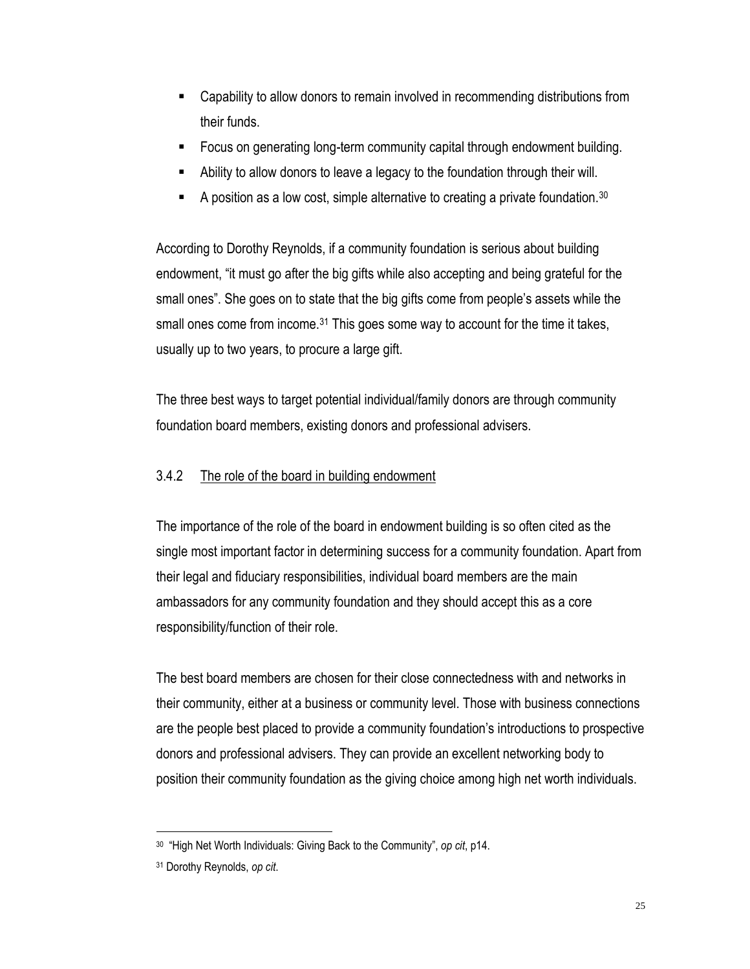- Capability to allow donors to remain involved in recommending distributions from their funds.
- Focus on generating long-term community capital through endowment building.
- Ability to allow donors to leave a legacy to the foundation through their will.
- A position as a low cost, simple alternative to creating a private foundation.<sup>30</sup>

According to Dorothy Reynolds, if a community foundation is serious about building endowment, "it must go after the big gifts while also accepting and being grateful for the small ones". She goes on to state that the big gifts come from people's assets while the small ones come from income.<sup>31</sup> This goes some way to account for the time it takes, usually up to two years, to procure a large gift.

The three best ways to target potential individual/family donors are through community foundation board members, existing donors and professional advisers.

## 3.4.2 The role of the board in building endowment

The importance of the role of the board in endowment building is so often cited as the single most important factor in determining success for a community foundation. Apart from their legal and fiduciary responsibilities, individual board members are the main ambassadors for any community foundation and they should accept this as a core responsibility/function of their role.

The best board members are chosen for their close connectedness with and networks in their community, either at a business or community level. Those with business connections are the people best placed to provide a community foundation's introductions to prospective donors and professional advisers. They can provide an excellent networking body to position their community foundation as the giving choice among high net worth individuals.

 $\overline{a}$ 30 "High Net Worth Individuals: Giving Back to the Community", *op cit*, p14.

<sup>31</sup> Dorothy Reynolds, *op cit*.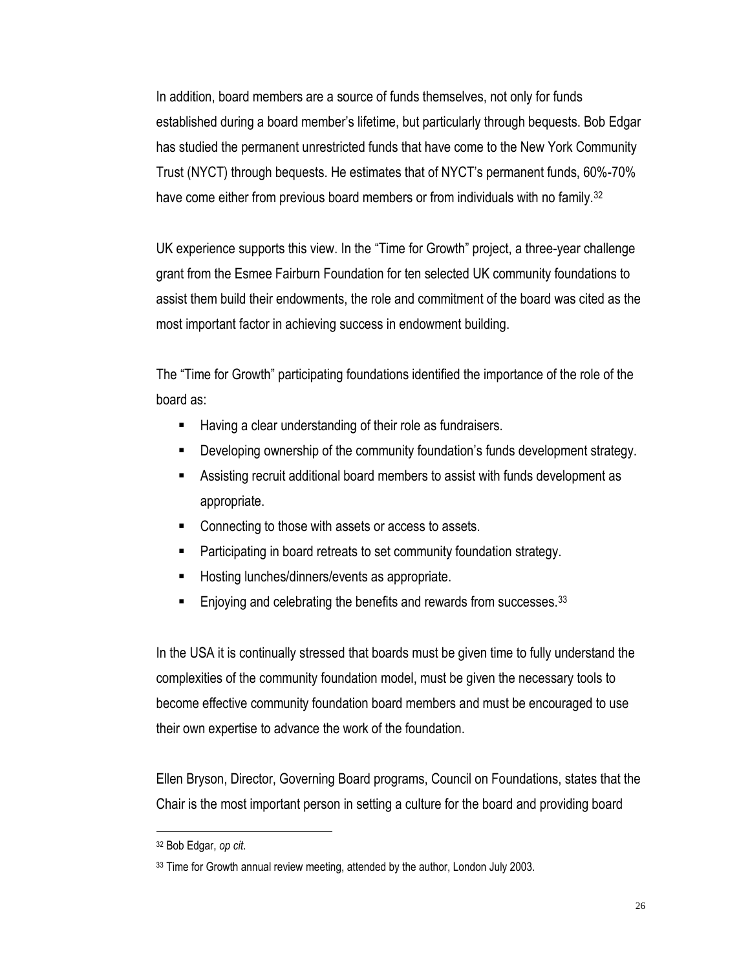In addition, board members are a source of funds themselves, not only for funds established during a board member's lifetime, but particularly through bequests. Bob Edgar has studied the permanent unrestricted funds that have come to the New York Community Trust (NYCT) through bequests. He estimates that of NYCT's permanent funds, 60%-70% have come either from previous board members or from individuals with no family.<sup>32</sup>

UK experience supports this view. In the "Time for Growth" project, a three-year challenge grant from the Esmee Fairburn Foundation for ten selected UK community foundations to assist them build their endowments, the role and commitment of the board was cited as the most important factor in achieving success in endowment building.

The "Time for Growth" participating foundations identified the importance of the role of the board as:

- Having a clear understanding of their role as fundraisers.
- Developing ownership of the community foundation's funds development strategy.
- Assisting recruit additional board members to assist with funds development as appropriate.
- Connecting to those with assets or access to assets.
- Participating in board retreats to set community foundation strategy.
- Hosting lunches/dinners/events as appropriate.
- Enjoying and celebrating the benefits and rewards from successes.<sup>33</sup>

In the USA it is continually stressed that boards must be given time to fully understand the complexities of the community foundation model, must be given the necessary tools to become effective community foundation board members and must be encouraged to use their own expertise to advance the work of the foundation.

Ellen Bryson, Director, Governing Board programs, Council on Foundations, states that the Chair is the most important person in setting a culture for the board and providing board

<sup>32</sup> Bob Edgar, *op cit*.

<sup>33</sup> Time for Growth annual review meeting, attended by the author, London July 2003.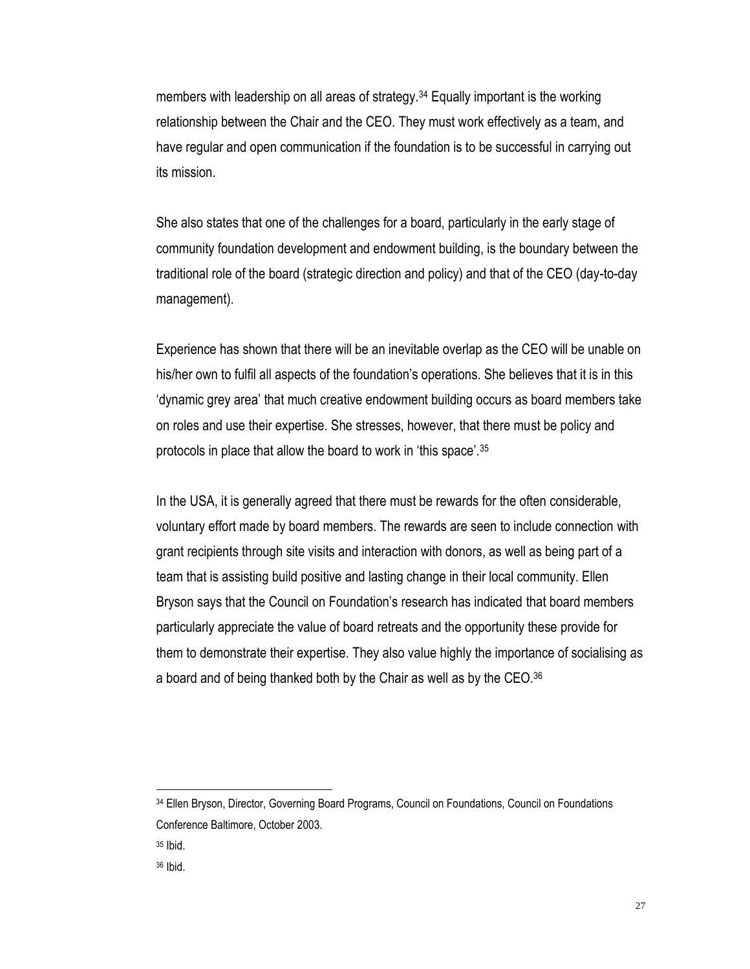members with leadership on all areas of strategy.<sup>34</sup> Equally important is the working relationship between the Chair and the CEO. They must work effectively as a team, and have regular and open communication if the foundation is to be successful in carrying out its mission.

She also states that one of the challenges for a board, particularly in the early stage of community foundation development and endowment building, is the boundary between the traditional role of the board (strategic direction and policy) and that of the CEO (day-to-day management).

Experience has shown that there will be an inevitable overlap as the CEO will be unable on his/her own to fulfil all aspects of the foundation's operations. She believes that it is in this 'dynamic grey area' that much creative endowment building occurs as board members take on roles and use their expertise. She stresses, however, that there must be policy and protocols in place that allow the board to work in 'this space'.<sup>35</sup>

In the USA, it is generally agreed that there must be rewards for the often considerable, voluntary effort made by board members. The rewards are seen to include connection with grant recipients through site visits and interaction with donors, as well as being part of a team that is assisting build positive and lasting change in their local community. Ellen Bryson says that the Council on Foundation's research has indicated that board members particularly appreciate the value of board retreats and the opportunity these provide for them to demonstrate their expertise. They also value highly the importance of socialising as a board and of being thanked both by the Chair as well as by the CEO.<sup>36</sup>

<sup>34</sup> Ellen Bryson, Director, Governing Board Programs, Council on Foundations, Council on Foundations Conference Baltimore, October 2003.

<sup>35</sup> Ibid.

<sup>36</sup> Ibid.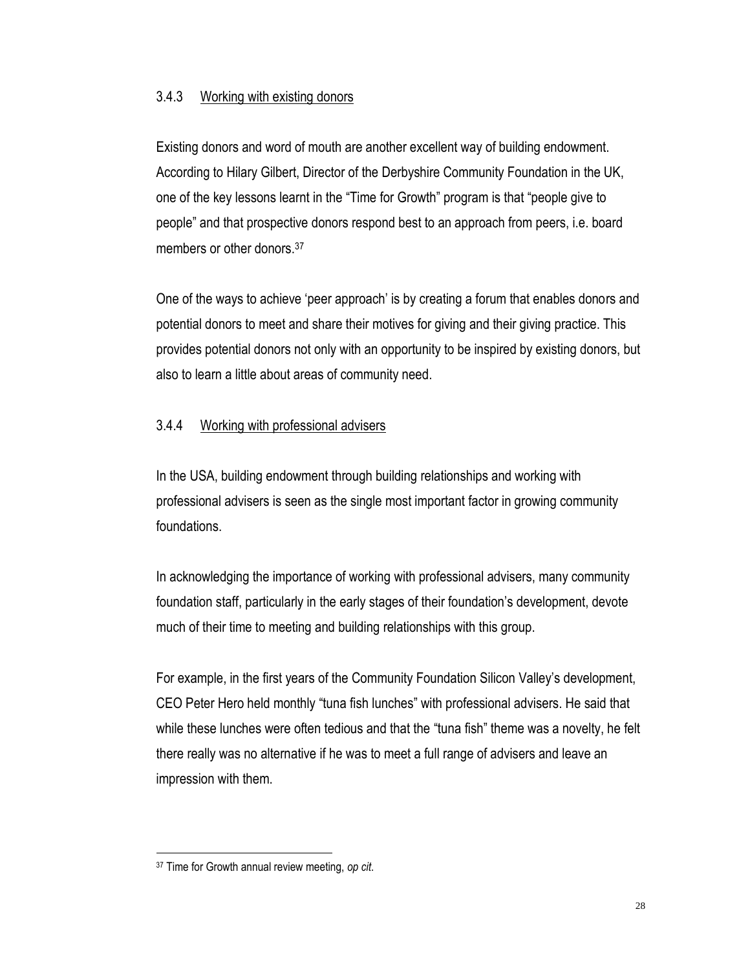#### 3.4.3 Working with existing donors

Existing donors and word of mouth are another excellent way of building endowment. According to Hilary Gilbert, Director of the Derbyshire Community Foundation in the UK, one of the key lessons learnt in the "Time for Growth" program is that "people give to people" and that prospective donors respond best to an approach from peers, i.e. board members or other donors.<sup>37</sup>

One of the ways to achieve 'peer approach' is by creating a forum that enables donors and potential donors to meet and share their motives for giving and their giving practice. This provides potential donors not only with an opportunity to be inspired by existing donors, but also to learn a little about areas of community need.

## 3.4.4 Working with professional advisers

In the USA, building endowment through building relationships and working with professional advisers is seen as the single most important factor in growing community foundations.

In acknowledging the importance of working with professional advisers, many community foundation staff, particularly in the early stages of their foundation's development, devote much of their time to meeting and building relationships with this group.

For example, in the first years of the Community Foundation Silicon Valley's development, CEO Peter Hero held monthly "tuna fish lunches" with professional advisers. He said that while these lunches were often tedious and that the "tuna fish" theme was a novelty, he felt there really was no alternative if he was to meet a full range of advisers and leave an impression with them.

<sup>37</sup> Time for Growth annual review meeting, *op cit*.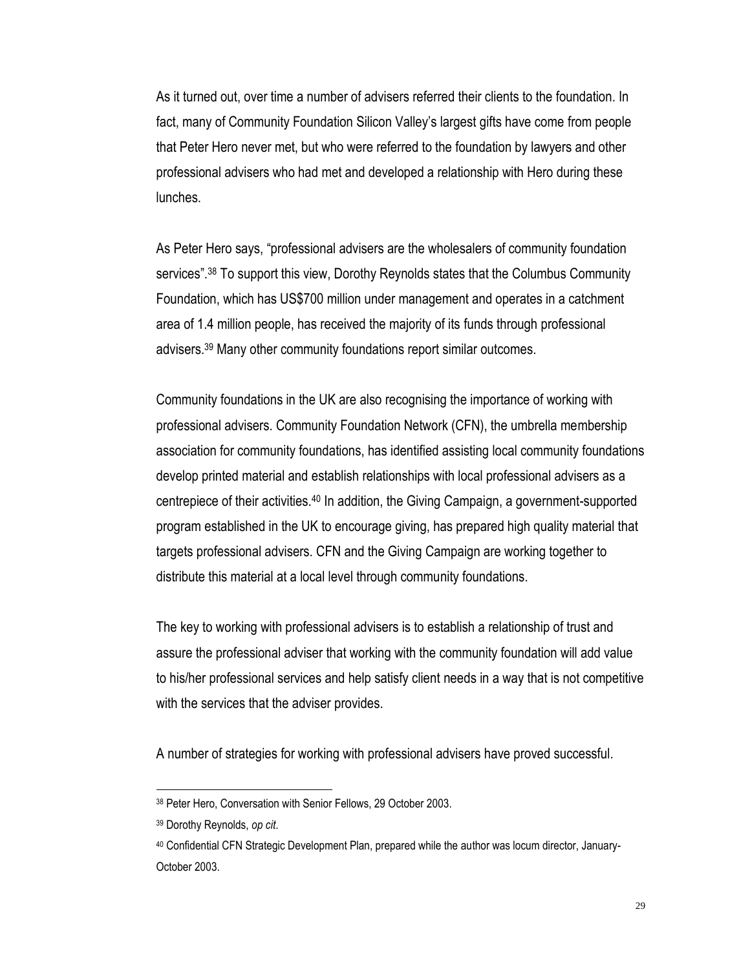As it turned out, over time a number of advisers referred their clients to the foundation. In fact, many of Community Foundation Silicon Valley's largest gifts have come from people that Peter Hero never met, but who were referred to the foundation by lawyers and other professional advisers who had met and developed a relationship with Hero during these lunches.

As Peter Hero says, "professional advisers are the wholesalers of community foundation services".<sup>38</sup> To support this view, Dorothy Reynolds states that the Columbus Community Foundation, which has US\$700 million under management and operates in a catchment area of 1.4 million people, has received the majority of its funds through professional advisers.<sup>39</sup> Many other community foundations report similar outcomes.

Community foundations in the UK are also recognising the importance of working with professional advisers. Community Foundation Network (CFN), the umbrella membership association for community foundations, has identified assisting local community foundations develop printed material and establish relationships with local professional advisers as a centrepiece of their activities.<sup>40</sup> In addition, the Giving Campaign, a government-supported program established in the UK to encourage giving, has prepared high quality material that targets professional advisers. CFN and the Giving Campaign are working together to distribute this material at a local level through community foundations.

The key to working with professional advisers is to establish a relationship of trust and assure the professional adviser that working with the community foundation will add value to his/her professional services and help satisfy client needs in a way that is not competitive with the services that the adviser provides.

A number of strategies for working with professional advisers have proved successful.

<sup>38</sup> Peter Hero, Conversation with Senior Fellows, 29 October 2003.

<sup>39</sup> Dorothy Reynolds, *op cit*.

<sup>40</sup> Confidential CFN Strategic Development Plan, prepared while the author was locum director, January-October 2003.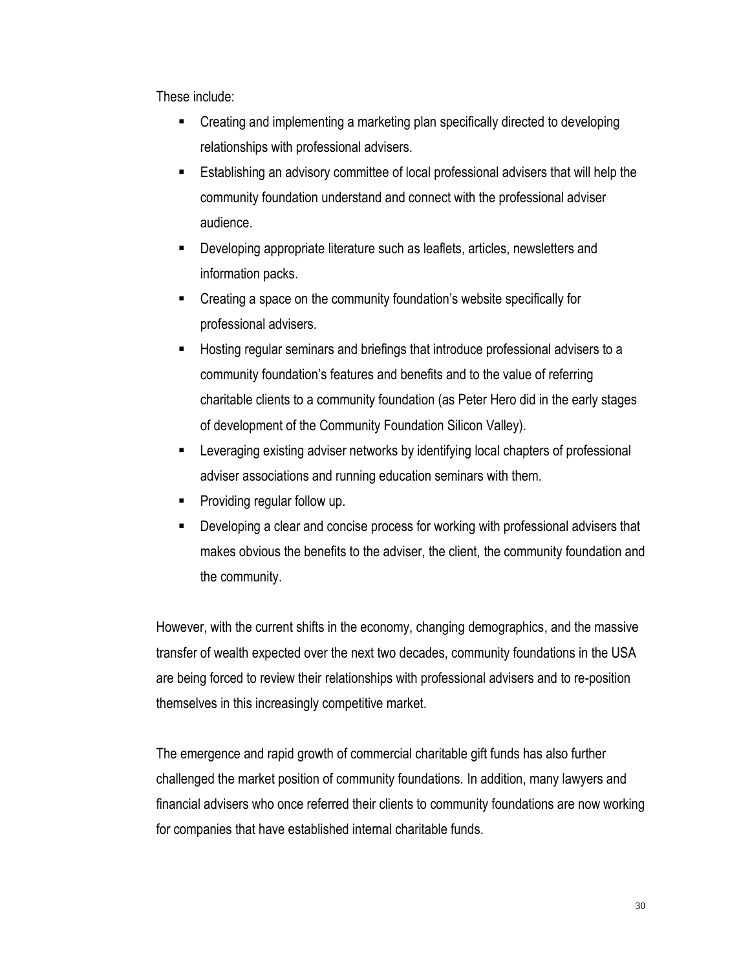These include:

- Creating and implementing a marketing plan specifically directed to developing relationships with professional advisers.
- Establishing an advisory committee of local professional advisers that will help the community foundation understand and connect with the professional adviser audience.
- Developing appropriate literature such as leaflets, articles, newsletters and information packs.
- Creating a space on the community foundation's website specifically for professional advisers.
- Hosting regular seminars and briefings that introduce professional advisers to a community foundation's features and benefits and to the value of referring charitable clients to a community foundation (as Peter Hero did in the early stages of development of the Community Foundation Silicon Valley).
- Leveraging existing adviser networks by identifying local chapters of professional adviser associations and running education seminars with them.
- Providing regular follow up.
- Developing a clear and concise process for working with professional advisers that makes obvious the benefits to the adviser, the client, the community foundation and the community.

However, with the current shifts in the economy, changing demographics, and the massive transfer of wealth expected over the next two decades, community foundations in the USA are being forced to review their relationships with professional advisers and to re-position themselves in this increasingly competitive market.

The emergence and rapid growth of commercial charitable gift funds has also further challenged the market position of community foundations. In addition, many lawyers and financial advisers who once referred their clients to community foundations are now working for companies that have established internal charitable funds.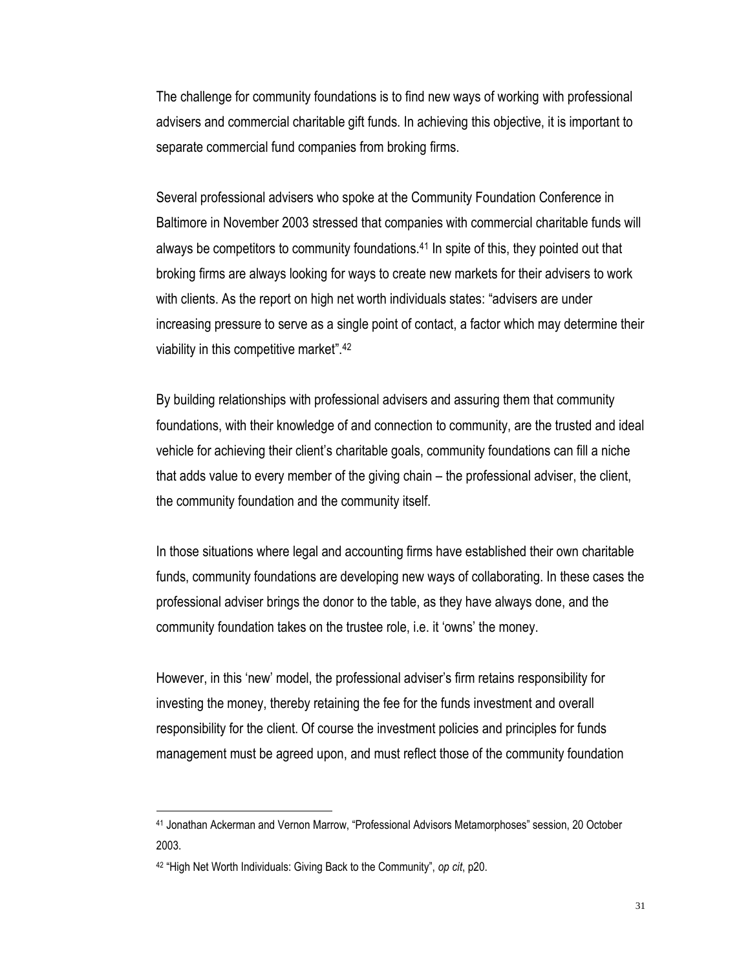The challenge for community foundations is to find new ways of working with professional advisers and commercial charitable gift funds. In achieving this objective, it is important to separate commercial fund companies from broking firms.

Several professional advisers who spoke at the Community Foundation Conference in Baltimore in November 2003 stressed that companies with commercial charitable funds will always be competitors to community foundations.<sup>41</sup> In spite of this, they pointed out that broking firms are always looking for ways to create new markets for their advisers to work with clients. As the report on high net worth individuals states: "advisers are under increasing pressure to serve as a single point of contact, a factor which may determine their viability in this competitive market". 42

By building relationships with professional advisers and assuring them that community foundations, with their knowledge of and connection to community, are the trusted and ideal vehicle for achieving their client's charitable goals, community foundations can fill a niche that adds value to every member of the giving chain – the professional adviser, the client, the community foundation and the community itself.

In those situations where legal and accounting firms have established their own charitable funds, community foundations are developing new ways of collaborating. In these cases the professional adviser brings the donor to the table, as they have always done, and the community foundation takes on the trustee role, i.e. it 'owns' the money.

However, in this 'new' model, the professional adviser's firm retains responsibility for investing the money, thereby retaining the fee for the funds investment and overall responsibility for the client. Of course the investment policies and principles for funds management must be agreed upon, and must reflect those of the community foundation

<sup>41</sup> Jonathan Ackerman and Vernon Marrow, "Professional Advisors Metamorphoses" session, 20 October 2003.

<sup>42</sup> "High Net Worth Individuals: Giving Back to the Community", *op cit*, p20.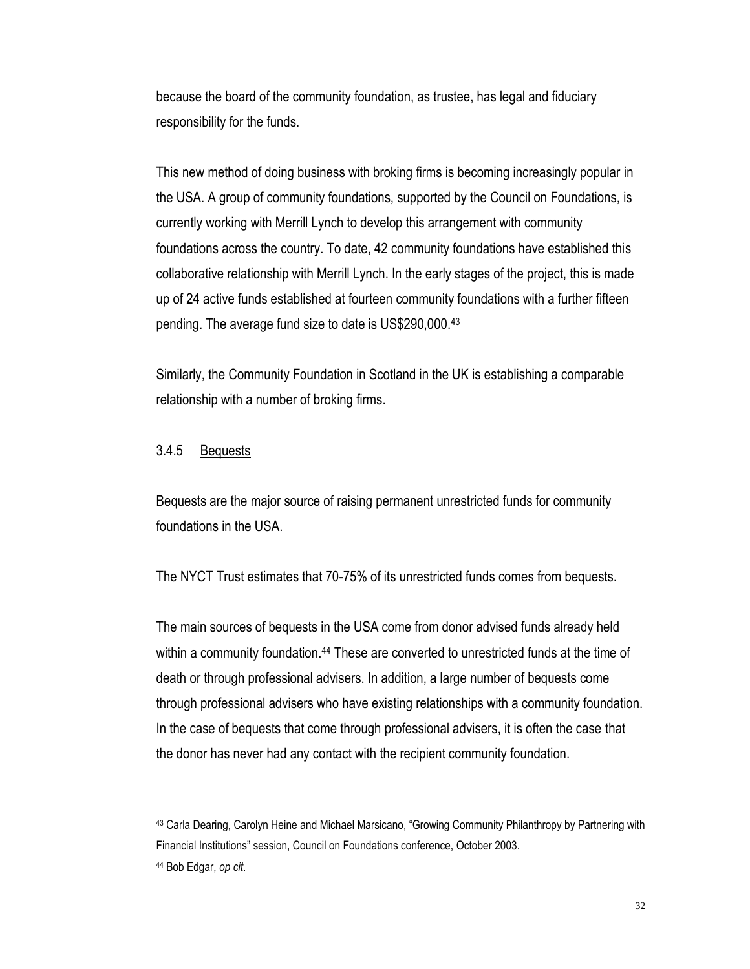because the board of the community foundation, as trustee, has legal and fiduciary responsibility for the funds.

This new method of doing business with broking firms is becoming increasingly popular in the USA. A group of community foundations, supported by the Council on Foundations, is currently working with Merrill Lynch to develop this arrangement with community foundations across the country. To date, 42 community foundations have established this collaborative relationship with Merrill Lynch. In the early stages of the project, this is made up of 24 active funds established at fourteen community foundations with a further fifteen pending. The average fund size to date is US\$290,000.<sup>43</sup>

Similarly, the Community Foundation in Scotland in the UK is establishing a comparable relationship with a number of broking firms.

#### 3.4.5 Bequests

Bequests are the major source of raising permanent unrestricted funds for community foundations in the USA.

The NYCT Trust estimates that 70-75% of its unrestricted funds comes from bequests.

The main sources of bequests in the USA come from donor advised funds already held within a community foundation.<sup>44</sup> These are converted to unrestricted funds at the time of death or through professional advisers. In addition, a large number of bequests come through professional advisers who have existing relationships with a community foundation. In the case of bequests that come through professional advisers, it is often the case that the donor has never had any contact with the recipient community foundation.

<sup>43</sup> Carla Dearing, Carolyn Heine and Michael Marsicano, "Growing Community Philanthropy by Partnering with Financial Institutions" session, Council on Foundations conference, October 2003.

<sup>44</sup> Bob Edgar, *op cit*.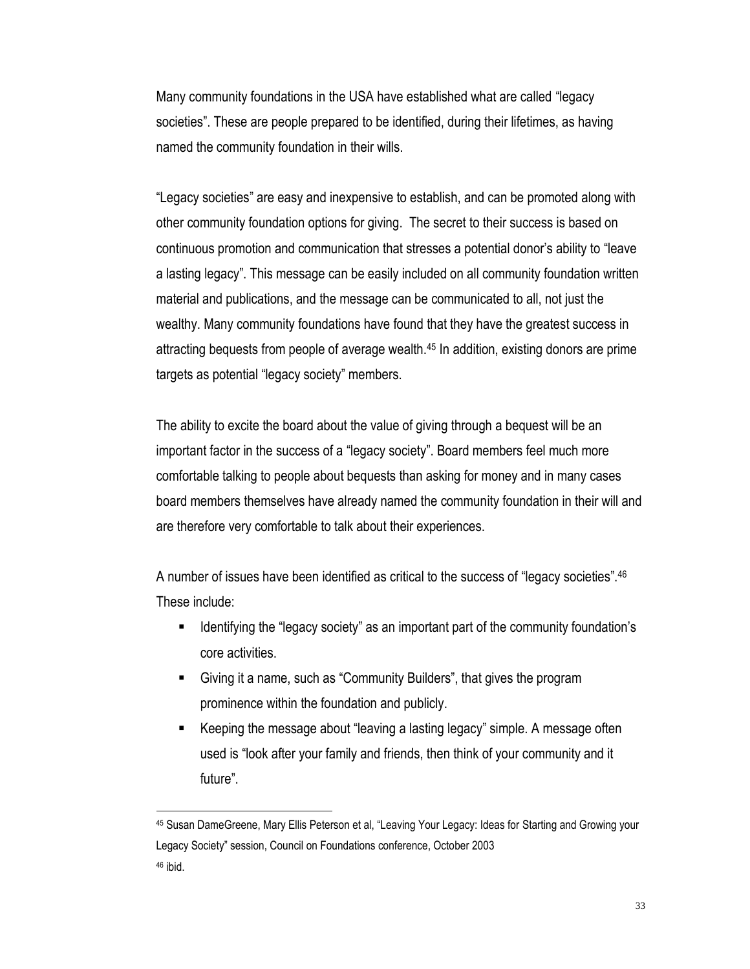Many community foundations in the USA have established what are called "legacy societies". These are people prepared to be identified, during their lifetimes, as having named the community foundation in their wills.

"Legacy societies" are easy and inexpensive to establish, and can be promoted along with other community foundation options for giving. The secret to their success is based on continuous promotion and communication that stresses a potential donor's ability to "leave a lasting legacy". This message can be easily included on all community foundation written material and publications, and the message can be communicated to all, not just the wealthy. Many community foundations have found that they have the greatest success in attracting bequests from people of average wealth.<sup>45</sup> In addition, existing donors are prime targets as potential "legacy society" members.

The ability to excite the board about the value of giving through a bequest will be an important factor in the success of a "legacy society". Board members feel much more comfortable talking to people about bequests than asking for money and in many cases board members themselves have already named the community foundation in their will and are therefore very comfortable to talk about their experiences.

A number of issues have been identified as critical to the success of "legacy societies".<sup>46</sup> These include:

- Identifying the "legacy society" as an important part of the community foundation's core activities.
- Giving it a name, such as "Community Builders", that gives the program prominence within the foundation and publicly.
- Keeping the message about "leaving a lasting legacy" simple. A message often used is "look after your family and friends, then think of your community and it future".

<sup>45</sup> Susan DameGreene, Mary Ellis Peterson et al, "Leaving Your Legacy: Ideas for Starting and Growing your Legacy Society" session, Council on Foundations conference, October 2003 <sup>46</sup> ibid.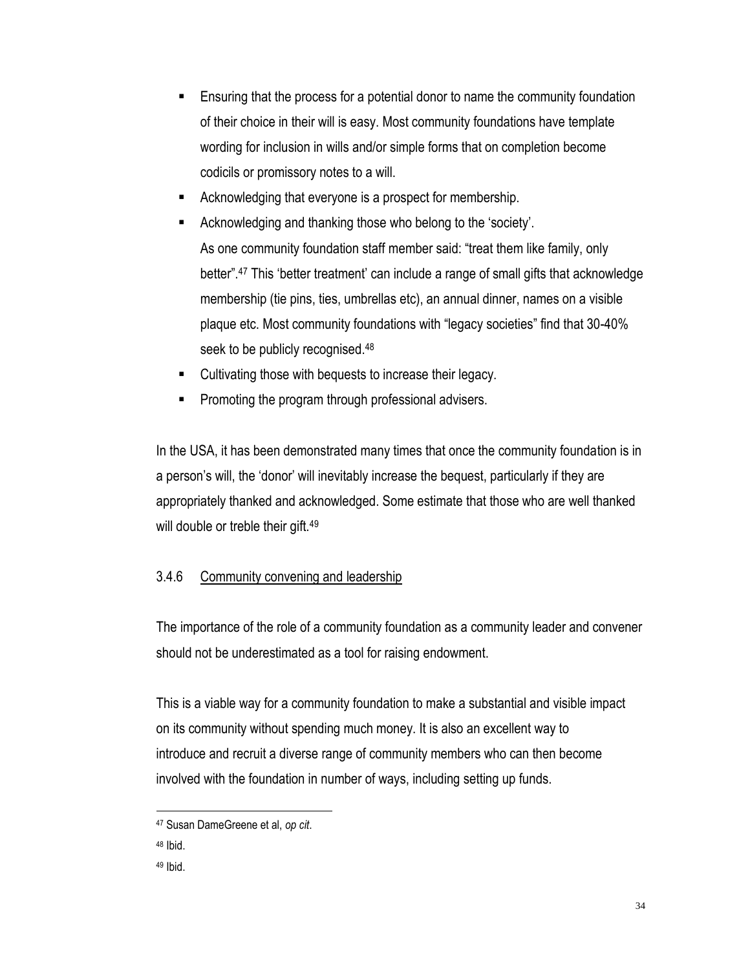- Ensuring that the process for a potential donor to name the community foundation of their choice in their will is easy. Most community foundations have template wording for inclusion in wills and/or simple forms that on completion become codicils or promissory notes to a will.
- Acknowledging that everyone is a prospect for membership.
- Acknowledging and thanking those who belong to the 'society'. As one community foundation staff member said: "treat them like family, only better".<sup>47</sup> This 'better treatment' can include a range of small gifts that acknowledge membership (tie pins, ties, umbrellas etc), an annual dinner, names on a visible plaque etc. Most community foundations with "legacy societies" find that 30-40% seek to be publicly recognised.<sup>48</sup>
- Cultivating those with bequests to increase their legacy.
- Promoting the program through professional advisers.

In the USA, it has been demonstrated many times that once the community foundation is in a person's will, the 'donor' will inevitably increase the bequest, particularly if they are appropriately thanked and acknowledged. Some estimate that those who are well thanked will double or treble their gift.<sup>49</sup>

## 3.4.6 Community convening and leadership

The importance of the role of a community foundation as a community leader and convener should not be underestimated as a tool for raising endowment.

This is a viable way for a community foundation to make a substantial and visible impact on its community without spending much money. It is also an excellent way to introduce and recruit a diverse range of community members who can then become involved with the foundation in number of ways, including setting up funds.

<sup>47</sup> Susan DameGreene et al, *op cit*.

<sup>48</sup> Ibid.

<sup>49</sup> Ibid.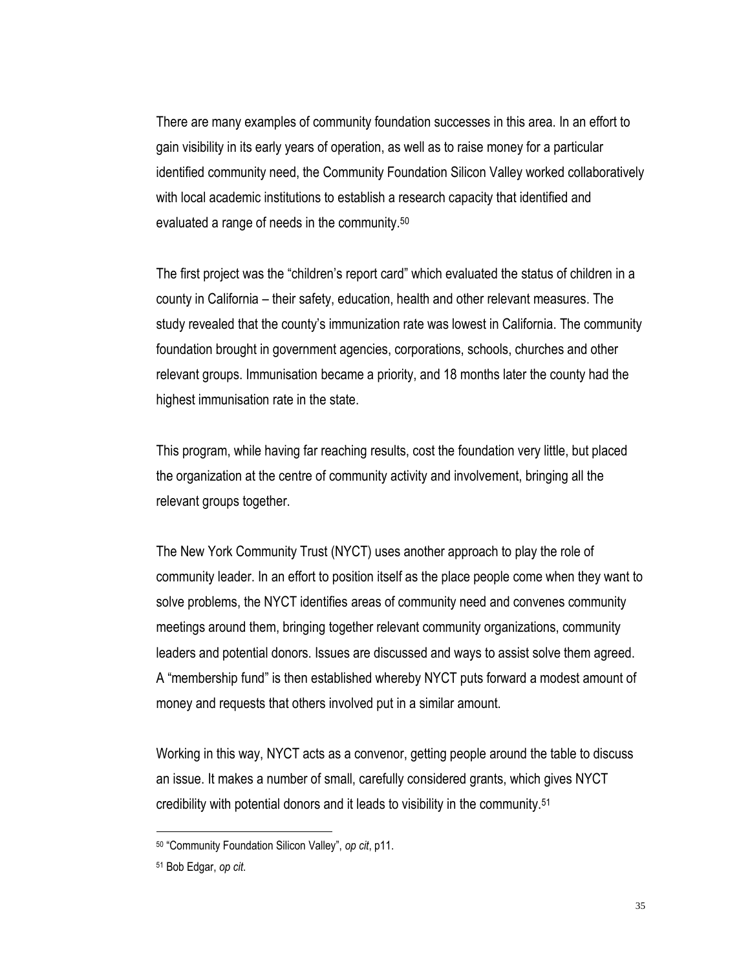There are many examples of community foundation successes in this area. In an effort to gain visibility in its early years of operation, as well as to raise money for a particular identified community need, the Community Foundation Silicon Valley worked collaboratively with local academic institutions to establish a research capacity that identified and evaluated a range of needs in the community.<sup>50</sup>

The first project was the "children's report card" which evaluated the status of children in a county in California – their safety, education, health and other relevant measures. The study revealed that the county's immunization rate was lowest in California. The community foundation brought in government agencies, corporations, schools, churches and other relevant groups. Immunisation became a priority, and 18 months later the county had the highest immunisation rate in the state.

This program, while having far reaching results, cost the foundation very little, but placed the organization at the centre of community activity and involvement, bringing all the relevant groups together.

The New York Community Trust (NYCT) uses another approach to play the role of community leader. In an effort to position itself as the place people come when they want to solve problems, the NYCT identifies areas of community need and convenes community meetings around them, bringing together relevant community organizations, community leaders and potential donors. Issues are discussed and ways to assist solve them agreed. A "membership fund" is then established whereby NYCT puts forward a modest amount of money and requests that others involved put in a similar amount.

Working in this way, NYCT acts as a convenor, getting people around the table to discuss an issue. It makes a number of small, carefully considered grants, which gives NYCT credibility with potential donors and it leads to visibility in the community.<sup>51</sup>

<sup>50</sup> "Community Foundation Silicon Valley", *op cit*, p11.

<sup>51</sup> Bob Edgar, *op cit*.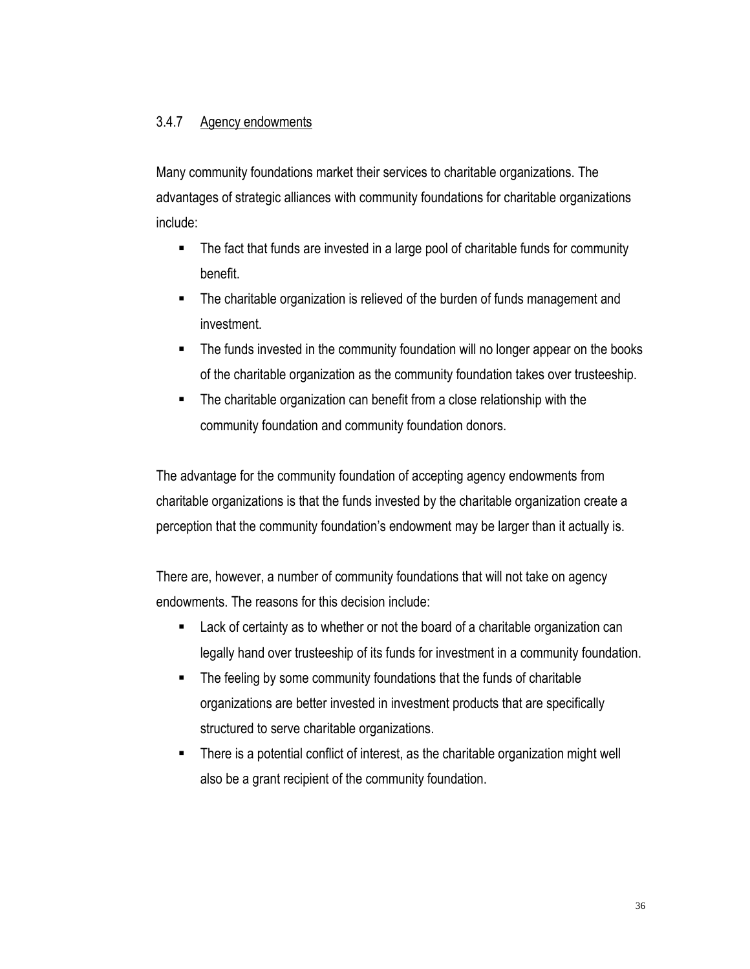### 3.4.7 Agency endowments

Many community foundations market their services to charitable organizations. The advantages of strategic alliances with community foundations for charitable organizations include:

- The fact that funds are invested in a large pool of charitable funds for community benefit.
- The charitable organization is relieved of the burden of funds management and investment.
- The funds invested in the community foundation will no longer appear on the books of the charitable organization as the community foundation takes over trusteeship.
- The charitable organization can benefit from a close relationship with the community foundation and community foundation donors.

The advantage for the community foundation of accepting agency endowments from charitable organizations is that the funds invested by the charitable organization create a perception that the community foundation's endowment may be larger than it actually is.

There are, however, a number of community foundations that will not take on agency endowments. The reasons for this decision include:

- **EXTER 2** Lack of certainty as to whether or not the board of a charitable organization can legally hand over trusteeship of its funds for investment in a community foundation.
- The feeling by some community foundations that the funds of charitable organizations are better invested in investment products that are specifically structured to serve charitable organizations.
- There is a potential conflict of interest, as the charitable organization might well also be a grant recipient of the community foundation.